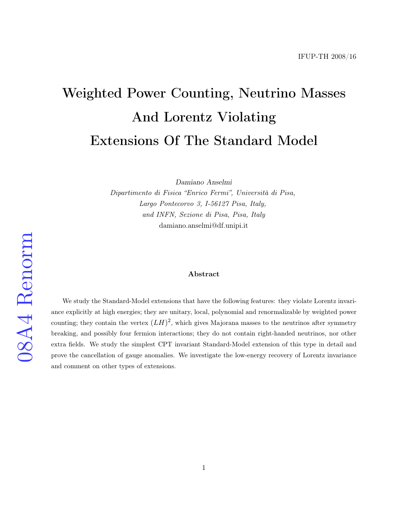# Weighted Power Counting, Neutrino Masses And Lorentz Violating Extensions Of The Standard Model

Damiano Anselmi

Dipartimento di Fisica "Enrico Fermi", Università di Pisa, Largo Pontecorvo 3, I-56127 Pisa, Italy, and INFN, Sezione di Pisa, Pisa, Italy damiano.anselmi@df.unipi.it

#### Abstract

We study the Standard-Model extensions that have the following features: they violate Lorentz invariance explicitly at high energies; they are unitary, local, polynomial and renormalizable by weighted power counting; they contain the vertex  $(LH)^2$ , which gives Majorana masses to the neutrinos after symmetry breaking, and possibly four fermion interactions; they do not contain right-handed neutrinos, nor other extra fields. We study the simplest CPT invariant Standard-Model extension of this type in detail and prove the cancellation of gauge anomalies. We investigate the low-energy recovery of Lorentz invariance and comment on other types of extensions.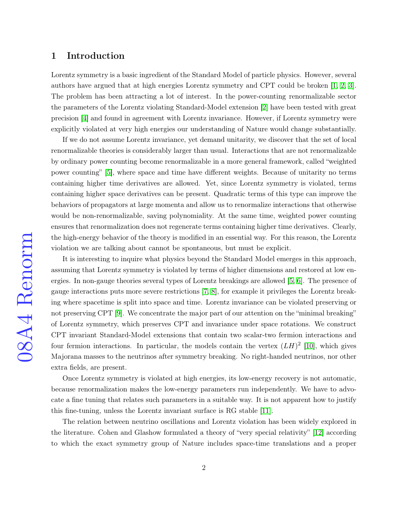### 1 Introduction

Lorentz symmetry is a basic ingredient of the Standard Model of particle physics. However, several authors have argued that at high energies Lorentz symmetry and CPT could be broken [\[1,](#page-22-0) [2,](#page-22-1) [3\]](#page-22-2). The problem has been attracting a lot of interest. In the power-counting renormalizable sector the parameters of the Lorentz violating Standard-Model extension [\[2\]](#page-22-1) have been tested with great precision [\[4\]](#page-23-0) and found in agreement with Lorentz invariance. However, if Lorentz symmetry were explicitly violated at very high energies our understanding of Nature would change substantially.

If we do not assume Lorentz invariance, yet demand unitarity, we discover that the set of local renormalizable theories is considerably larger than usual. Interactions that are not renormalizable by ordinary power counting become renormalizable in a more general framework, called "weighted power counting" [\[5\]](#page-23-1), where space and time have different weights. Because of unitarity no terms containing higher time derivatives are allowed. Yet, since Lorentz symmetry is violated, terms containing higher space derivatives can be present. Quadratic terms of this type can improve the behaviors of propagators at large momenta and allow us to renormalize interactions that otherwise would be non-renormalizable, saving polynomiality. At the same time, weighted power counting ensures that renormalization does not regenerate terms containing higher time derivatives. Clearly, the high-energy behavior of the theory is modified in an essential way. For this reason, the Lorentz violation we are talking about cannot be spontaneous, but must be explicit.

It is interesting to inquire what physics beyond the Standard Model emerges in this approach, assuming that Lorentz symmetry is violated by terms of higher dimensions and restored at low energies. In non-gauge theories several types of Lorentz breakings are allowed [\[5,](#page-23-1) [6\]](#page-23-2). The presence of gauge interactions puts more severe restrictions [\[7,](#page-23-3) [8\]](#page-23-4), for example it privileges the Lorentz breaking where spacetime is split into space and time. Lorentz invariance can be violated preserving or not preserving CPT [\[9\]](#page-23-5). We concentrate the major part of our attention on the "minimal breaking" of Lorentz symmetry, which preserves CPT and invariance under space rotations. We construct CPT invariant Standard-Model extensions that contain two scalar-two fermion interactions and four fermion interactions. In particular, the models contain the vertex  $(LH)^2$  [\[10\]](#page-23-6), which gives Majorana masses to the neutrinos after symmetry breaking. No right-handed neutrinos, nor other extra fields, are present.

Once Lorentz symmetry is violated at high energies, its low-energy recovery is not automatic, because renormalization makes the low-energy parameters run independently. We have to advocate a fine tuning that relates such parameters in a suitable way. It is not apparent how to justify this fine-tuning, unless the Lorentz invariant surface is RG stable [\[11\]](#page-23-7).

The relation between neutrino oscillations and Lorentz violation has been widely explored in the literature. Cohen and Glashow formulated a theory of "very special relativity" [\[12\]](#page-23-8) according to which the exact symmetry group of Nature includes space-time translations and a proper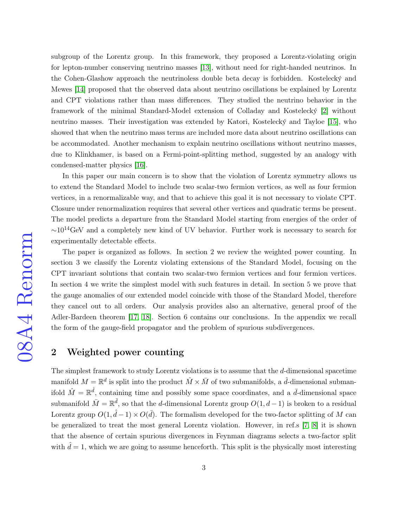subgroup of the Lorentz group. In this framework, they proposed a Lorentz-violating origin for lepton-number conserving neutrino masses [\[13\]](#page-23-9), without need for right-handed neutrinos. In the Cohen-Glashow approach the neutrinoless double beta decay is forbidden. Kostelecký and Mewes [\[14\]](#page-24-0) proposed that the observed data about neutrino oscillations be explained by Lorentz and CPT violations rather than mass differences. They studied the neutrino behavior in the framework of the minimal Standard-Model extension of Colladay and Kostelecký [\[2\]](#page-22-1) without neutrino masses. Their investigation was extended by Katori, Kostelecký and Tayloe [\[15\]](#page-24-1), who showed that when the neutrino mass terms are included more data about neutrino oscillations can be accommodated. Another mechanism to explain neutrino oscillations without neutrino masses, due to Klinkhamer, is based on a Fermi-point-splitting method, suggested by an analogy with condensed-matter physics [\[16\]](#page-24-2).

In this paper our main concern is to show that the violation of Lorentz symmetry allows us to extend the Standard Model to include two scalar-two fermion vertices, as well as four fermion vertices, in a renormalizable way, and that to achieve this goal it is not necessary to violate CPT. Closure under renormalization requires that several other vertices and quadratic terms be present. The model predicts a departure from the Standard Model starting from energies of the order of  $\sim 10^{14}$ GeV and a completely new kind of UV behavior. Further work is necessary to search for experimentally detectable effects.

The paper is organized as follows. In section 2 we review the weighted power counting. In section 3 we classify the Lorentz violating extensions of the Standard Model, focusing on the CPT invariant solutions that contain two scalar-two fermion vertices and four fermion vertices. In section 4 we write the simplest model with such features in detail. In section 5 we prove that the gauge anomalies of our extended model coincide with those of the Standard Model, therefore they cancel out to all orders. Our analysis provides also an alternative, general proof of the Adler-Bardeen theorem [\[17,](#page-24-3) [18\]](#page-24-4). Section 6 contains our conclusions. In the appendix we recall the form of the gauge-field propagator and the problem of spurious subdivergences.

## 2 Weighted power counting

The simplest framework to study Lorentz violations is to assume that the d-dimensional spacetime manifold  $M = \mathbb{R}^d$  is split into the product  $\hat{M} \times \bar{M}$  of two submanifolds, a  $\hat{d}$ -dimensional submanifold  $\hat{M} = \mathbb{R}^{\hat{d}}$ , containing time and possibly some space coordinates, and a  $\bar{d}$ -dimensional space submanifold  $\bar{M} = \mathbb{R}^{\bar{d}}$ , so that the d-dimensional Lorentz group  $O(1, d-1)$  is broken to a residual Lorentz group  $O(1, \hat{d}-1) \times O(\bar{d})$ . The formalism developed for the two-factor splitting of M can be generalized to treat the most general Lorentz violation. However, in ref.s [\[7,](#page-23-3) [8\]](#page-23-4) it is shown that the absence of certain spurious divergences in Feynman diagrams selects a two-factor split with  $\hat{d} = 1$ , which we are going to assume henceforth. This split is the physically most interesting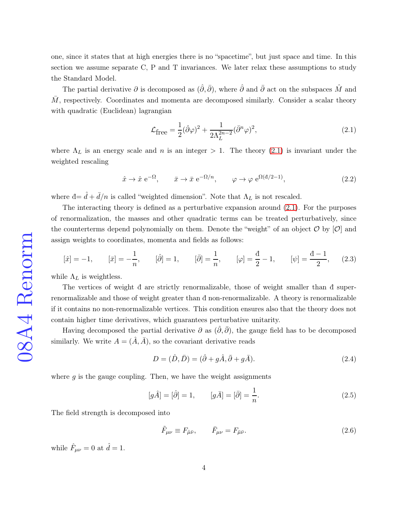one, since it states that at high energies there is no "spacetime", but just space and time. In this section we assume separate C, P and T invariances. We later relax these assumptions to study the Standard Model.

The partial derivative  $\partial$  is decomposed as  $(\hat{\partial}, \bar{\partial})$ , where  $\hat{\partial}$  and  $\bar{\partial}$  act on the subspaces  $\hat{M}$  and  $\overline{M}$ , respectively. Coordinates and momenta are decomposed similarly. Consider a scalar theory with quadratic (Euclidean) lagrangian

<span id="page-3-0"></span>
$$
\mathcal{L}_{\text{free}} = \frac{1}{2} (\hat{\partial} \varphi)^2 + \frac{1}{2\Lambda_L^{2n-2}} (\bar{\partial}^n \varphi)^2, \tag{2.1}
$$

where  $\Lambda_L$  is an energy scale and n is an integer  $> 1$ . The theory [\(2.1\)](#page-3-0) is invariant under the weighted rescaling

$$
\hat{x} \to \hat{x} e^{-\Omega}, \qquad \bar{x} \to \bar{x} e^{-\Omega/n}, \qquad \varphi \to \varphi e^{\Omega(\mathrm{d}/2 - 1)}, \tag{2.2}
$$

where  $\bar{d} = \hat{d} + \bar{d}/n$  is called "weighted dimension". Note that  $\Lambda_L$  is not rescaled.

The interacting theory is defined as a perturbative expansion around [\(2.1\)](#page-3-0). For the purposes of renormalization, the masses and other quadratic terms can be treated perturbatively, since the counterterms depend polynomially on them. Denote the "weight" of an object  $\mathcal O$  by  $[\mathcal O]$  and assign weights to coordinates, momenta and fields as follows:

$$
[\hat{x}] = -1, \qquad [\bar{x}] = -\frac{1}{n}, \qquad [\hat{\partial}] = 1, \qquad [\bar{\partial}] = \frac{1}{n}, \qquad [\varphi] = \frac{\mathrm{d}}{2} - 1, \qquad [\psi] = \frac{\mathrm{d} - 1}{2}, \qquad (2.3)
$$

while  $\Lambda_L$  is weightless.

The vertices of weight đ are strictly renormalizable, those of weight smaller than đ superrenormalizable and those of weight greater than đ non-renormalizable. A theory is renormalizable if it contains no non-renormalizable vertices. This condition ensures also that the theory does not contain higher time derivatives, which guarantees perturbative unitarity.

Having decomposed the partial derivative  $\partial$  as  $(\hat{\partial}, \bar{\partial})$ , the gauge field has to be decomposed similarly. We write  $A = (\hat{A}, \bar{A})$ , so the covariant derivative reads

$$
D = (\hat{D}, \bar{D}) = (\hat{\partial} + g\hat{A}, \bar{\partial} + g\bar{A}). \tag{2.4}
$$

where  $g$  is the gauge coupling. Then, we have the weight assignments

<span id="page-3-1"></span>
$$
[g\hat{A}] = [\hat{\partial}] = 1,
$$
  $[g\bar{A}] = [\bar{\partial}] = \frac{1}{n}.$  (2.5)

The field strength is decomposed into

$$
\tilde{F}_{\mu\nu} \equiv F_{\hat{\mu}\bar{\nu}}, \qquad \bar{F}_{\mu\nu} = F_{\bar{\mu}\bar{\nu}}.
$$
\n(2.6)

while  $\hat{F}_{\mu\nu} = 0$  at  $\hat{d} = 1$ .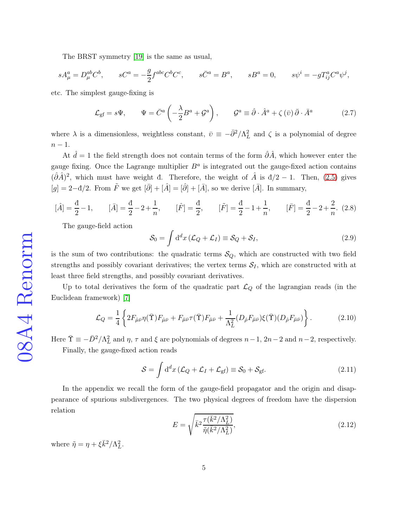The BRST symmetry [\[19\]](#page-24-5) is the same as usual,

$$
sA^a_\mu = D^{ab}_\mu C^b, \qquad sC^a = -\frac{g}{2} f^{abc} C^b C^c, \qquad s\bar{C}^a = B^a, \qquad sB^a = 0, \qquad s\psi^i = -gT^a_{ij}C^a \psi^j,
$$

etc. The simplest gauge-fixing is

$$
\mathcal{L}_{\text{gf}} = s\Psi, \qquad \Psi = \bar{C}^a \left( -\frac{\lambda}{2} B^a + \mathcal{G}^a \right), \qquad \mathcal{G}^a \equiv \hat{\partial} \cdot \hat{A}^a + \zeta (\bar{v}) \bar{\partial} \cdot \bar{A}^a \tag{2.7}
$$

where  $\lambda$  is a dimensionless, weightless constant,  $\bar{v} \equiv -\bar{\partial}^2/\Lambda_L^2$  and  $\zeta$  is a polynomial of degree  $n-1$ .

At  $\hat{d} = 1$  the field strength does not contain terms of the form  $\hat{\partial} \hat{A}$ , which however enter the gauge fixing. Once the Lagrange multiplier  $B^a$  is integrated out the gauge-fixed action contains  $(\hat{\partial}\hat{A})^2$ , which must have weight đ. Therefore, the weight of  $\hat{A}$  is  $d/2 - 1$ . Then, [\(2.5\)](#page-3-1) gives  $[g] = 2-\bar{\mathbf{d}}/2$ . From  $\tilde{F}$  we get  $[\bar{\partial}] + [\hat{A}] = [\hat{\partial}] + [\bar{A}],$  so we derive  $[\bar{A}]$ . In summary,

$$
[\hat{A}] = \frac{\mathrm{d}}{2} - 1, \qquad [\bar{A}] = \frac{\mathrm{d}}{2} - 2 + \frac{1}{n}, \qquad [\hat{F}] = \frac{\mathrm{d}}{2}, \qquad [\tilde{F}] = \frac{\mathrm{d}}{2} - 1 + \frac{1}{n}, \qquad [\bar{F}] = \frac{\mathrm{d}}{2} - 2 + \frac{2}{n}. \tag{2.8}
$$

The gauge-field action

<span id="page-4-0"></span>
$$
S_0 = \int d^d x \left( \mathcal{L}_Q + \mathcal{L}_I \right) \equiv S_Q + S_I,
$$
\n(2.9)

is the sum of two contributions: the quadratic terms  $S_Q$ , which are constructed with two field strengths and possibly covariant derivatives; the vertex terms  $S_I$ , which are constructed with at least three field strengths, and possibly covariant derivatives.

Up to total derivatives the form of the quadratic part  $\mathcal{L}_Q$  of the lagrangian reads (in the Euclidean framework) [\[7\]](#page-23-3)

$$
\mathcal{L}_Q = \frac{1}{4} \left\{ 2F_{\hat{\mu}\bar{\nu}} \eta(\bar{\Upsilon}) F_{\hat{\mu}\bar{\nu}} + F_{\bar{\mu}\bar{\nu}} \tau(\bar{\Upsilon}) F_{\bar{\mu}\bar{\nu}} + \frac{1}{\Lambda_L^2} (D_{\hat{\rho}} F_{\bar{\mu}\bar{\nu}}) \xi(\bar{\Upsilon}) (D_{\hat{\rho}} F_{\bar{\mu}\bar{\nu}}) \right\}.
$$
 (2.10)

Here  $\overline{\Upsilon} \equiv -\overline{D}^2/\Lambda_L^2$  and  $\eta$ ,  $\tau$  and  $\xi$  are polynomials of degrees  $n-1$ ,  $2n-2$  and  $n-2$ , respectively. Finally, the gauge-fixed action reads

$$
S = \int d^d x \left( \mathcal{L}_Q + \mathcal{L}_I + \mathcal{L}_{\text{gf}} \right) \equiv S_0 + S_{\text{gf}}.
$$
 (2.11)

In the appendix we recall the form of the gauge-field propagator and the origin and disappearance of spurious subdivergences. The two physical degrees of freedom have the dispersion relation

<span id="page-4-1"></span>
$$
E = \sqrt{\bar{k}^2 \frac{\tau(\bar{k}^2/\Lambda_L^2)}{\tilde{\eta}(\bar{k}^2/\Lambda_L^2)}},\tag{2.12}
$$

where  $\tilde{\eta} = \eta + \xi \bar{k}^2 / \Lambda_L^2$ .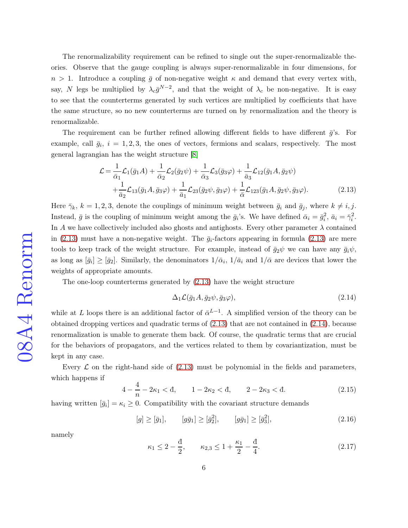The renormalizability requirement can be refined to single out the super-renormalizable theories. Observe that the gauge coupling is always super-renormalizable in four dimensions, for  $n > 1$ . Introduce a coupling  $\bar{g}$  of non-negative weight  $\kappa$  and demand that every vertex with, say, N legs be multiplied by  $\lambda_c \bar{g}^{N-2}$ , and that the weight of  $\lambda_c$  be non-negative. It is easy to see that the counterterms generated by such vertices are multiplied by coefficients that have the same structure, so no new counterterms are turned on by renormalization and the theory is renormalizable.

The requirement can be further refined allowing different fields to have different  $\bar{g}$ 's. For example, call  $\bar{g}_i$ ,  $i = 1, 2, 3$ , the ones of vectors, fermions and scalars, respectively. The most general lagrangian has the weight structure [\[8\]](#page-23-4)

<span id="page-5-0"></span>
$$
\mathcal{L} = \frac{1}{\bar{\alpha}_1} \mathcal{L}_1(\bar{g}_1 A) + \frac{1}{\bar{\alpha}_2} \mathcal{L}_2(\bar{g}_2 \psi) + \frac{1}{\bar{\alpha}_3} \mathcal{L}_3(\bar{g}_3 \varphi) + \frac{1}{\bar{a}_3} \mathcal{L}_{12}(\bar{g}_1 A, \bar{g}_2 \psi) \n+ \frac{1}{\bar{\alpha}_2} \mathcal{L}_{13}(\bar{g}_1 A, \bar{g}_3 \varphi) + \frac{1}{\bar{\alpha}_1} \mathcal{L}_{23}(\bar{g}_2 \psi, \bar{g}_3 \varphi) + \frac{1}{\bar{\alpha}} \mathcal{L}_{123}(\bar{g}_1 A, \bar{g}_2 \psi, \bar{g}_3 \varphi).
$$
\n(2.13)

Here  $\bar{\gamma}_k$ ,  $k = 1, 2, 3$ , denote the couplings of minimum weight between  $\bar{g}_i$  and  $\bar{g}_j$ , where  $k \neq i, j$ . Instead,  $\bar{g}$  is the coupling of minimum weight among the  $\bar{g}_i$ 's. We have defined  $\bar{\alpha}_i = \bar{g}_i^2$ ,  $\bar{a}_i = \bar{\gamma}_i^2$ . In A we have collectively included also ghosts and antighosts. Every other parameter  $\lambda$  contained in [\(2.13\)](#page-5-0) must have a non-negative weight. The  $\bar{g}_i$ -factors appearing in formula (2.13) are mere tools to keep track of the weight structure. For example, instead of  $\bar{g}_2\psi$  we can have any  $\bar{g}_i\psi$ , as long as  $[\bar{g}_i] \geq [\bar{g}_2]$ . Similarly, the denominators  $1/\bar{\alpha}_i$ ,  $1/\bar{a}_i$  and  $1/\bar{\alpha}$  are devices that lower the weights of appropriate amounts.

The one-loop counterterms generated by [\(2.13\)](#page-5-0) have the weight structure

<span id="page-5-1"></span>
$$
\Delta_1 \mathcal{L}(\bar{g}_1 A, \bar{g}_2 \psi, \bar{g}_3 \varphi), \tag{2.14}
$$

while at L loops there is an additional factor of  $\bar{\alpha}^{L-1}$ . A simplified version of the theory can be obtained dropping vertices and quadratic terms of [\(2.13\)](#page-5-0) that are not contained in [\(2.14\)](#page-5-1), because renormalization is unable to generate them back. Of course, the quadratic terms that are crucial for the behaviors of propagators, and the vertices related to them by covariantization, must be kept in any case.

Every  $\mathcal L$  on the right-hand side of [\(2.13\)](#page-5-0) must be polynomial in the fields and parameters, which happens if

<span id="page-5-2"></span>
$$
4 - \frac{4}{n} - 2\kappa_1 < \mathbf{d}, \qquad 1 - 2\kappa_2 < \mathbf{d}, \qquad 2 - 2\kappa_3 < \mathbf{d}.\tag{2.15}
$$

having written  $[\bar{g}_i] = \kappa_i \geq 0$ . Compatibility with the covariant structure demands

$$
[g] \geq [\bar{g}_1], \qquad [g\bar{g}_1] \geq [\bar{g}_2^2], \qquad [g\bar{g}_1] \geq [\bar{g}_3^2],
$$
 (2.16)

namely

<span id="page-5-3"></span>
$$
\kappa_1 \le 2 - \frac{d}{2}, \qquad \kappa_{2,3} \le 1 + \frac{\kappa_1}{2} - \frac{d}{4}.\tag{2.17}
$$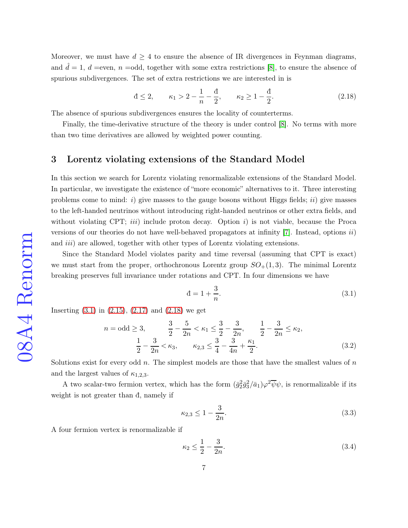Moreover, we must have  $d \geq 4$  to ensure the absence of IR divergences in Feynman diagrams, and  $d = 1$ ,  $d = even$ ,  $n = odd$ , together with some extra restrictions [\[8\]](#page-23-4), to ensure the absence of spurious subdivergences. The set of extra restrictions we are interested in is

<span id="page-6-1"></span>
$$
d \le 2
$$
,  $\kappa_1 > 2 - \frac{1}{n} - \frac{d}{2}$ ,  $\kappa_2 \ge 1 - \frac{d}{2}$ . (2.18)

The absence of spurious subdivergences ensures the locality of counterterms.

Finally, the time-derivative structure of the theory is under control [\[8\]](#page-23-4). No terms with more than two time derivatives are allowed by weighted power counting.

#### 3 Lorentz violating extensions of the Standard Model

In this section we search for Lorentz violating renormalizable extensions of the Standard Model. In particular, we investigate the existence of "more economic" alternatives to it. Three interesting problems come to mind: i) give masses to the gauge bosons without Higgs fields; ii) give masses to the left-handed neutrinos without introducing right-handed neutrinos or other extra fields, and without violating CPT; *iii*) include proton decay. Option *i*) is not viable, because the Proca versions of our theories do not have well-behaved propagators at infinity  $[7]$ . Instead, options ii) and *iii*) are allowed, together with other types of Lorentz violating extensions.

Since the Standard Model violates parity and time reversal (assuming that CPT is exact) we must start from the proper, orthochronous Lorentz group  $SO_{+}(1,3)$ . The minimal Lorentz breaking preserves full invariance under rotations and CPT. In four dimensions we have

<span id="page-6-0"></span>
$$
d = 1 + \frac{3}{n}.\t(3.1)
$$

Inserting  $(3.1)$  in  $(2.15)$ ,  $(2.17)$  and  $(2.18)$  we get

<span id="page-6-2"></span>
$$
n = \text{odd} \ge 3, \qquad \frac{3}{2} - \frac{5}{2n} < \kappa_1 \le \frac{3}{2} - \frac{3}{2n}, \qquad \frac{1}{2} - \frac{3}{2n} \le \kappa_2, \\
\frac{1}{2} - \frac{3}{2n} < \kappa_3, \qquad \kappa_{2,3} \le \frac{3}{4} - \frac{3}{4n} + \frac{\kappa_1}{2}.\n\tag{3.2}
$$

Solutions exist for every odd n. The simplest models are those that have the smallest values of  $n$ and the largest values of  $\kappa_{1,2,3}$ .

A two scalar-two fermion vertex, which has the form  $(\bar{g}_2^2 \bar{g}_3^2 / \bar{a}_1) \varphi^2 \overline{\psi} \psi$ , is renormalizable if its weight is not greater than đ, namely if

<span id="page-6-3"></span>
$$
\kappa_{2,3} \le 1 - \frac{3}{2n}.\tag{3.3}
$$

A four fermion vertex is renormalizable if

<span id="page-6-4"></span>
$$
\kappa_2 \le \frac{1}{2} - \frac{3}{2n}.\tag{3.4}
$$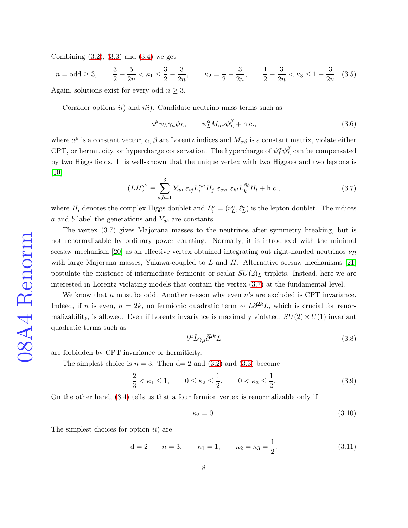Combining  $(3.2)$ ,  $(3.3)$  and  $(3.4)$  we get

<span id="page-7-2"></span>
$$
n = \text{odd } \ge 3
$$
,  $\frac{3}{2} - \frac{5}{2n} < \kappa_1 \le \frac{3}{2} - \frac{3}{2n}$ ,  $\kappa_2 = \frac{1}{2} - \frac{3}{2n}$ ,  $\frac{1}{2} - \frac{3}{2n} < \kappa_3 \le 1 - \frac{3}{2n}$ . (3.5)

Again, solutions exist for every odd  $n \geq 3$ .

Consider options  $ii)$  and  $iii)$ . Candidate neutrino mass terms such as

<span id="page-7-3"></span>
$$
a^{\mu}\bar{\psi}_L\gamma_{\mu}\psi_L, \qquad \psi_L^{\alpha}M_{\alpha\beta}\psi_L^{\beta} + \text{h.c.}, \qquad (3.6)
$$

where  $a^{\mu}$  is a constant vector,  $\alpha, \beta$  are Lorentz indices and  $M_{\alpha\beta}$  is a constant matrix, violate either CPT, or hermiticity, or hypercharge conservation. The hypercharge of  $\psi_L^{\alpha} \psi_L^{\beta}$  $L<sup>p</sup>$  can be compensated by two Higgs fields. It is well-known that the unique vertex with two Higgses and two leptons is [\[10\]](#page-23-6)

<span id="page-7-0"></span>
$$
(LH)^2 \equiv \sum_{a,b=1}^3 Y_{ab} \varepsilon_{ij} L_i^{\alpha a} H_j \varepsilon_{\alpha \beta} \varepsilon_{kl} L_k^{\beta b} H_l + \text{h.c.},\tag{3.7}
$$

where  $H_i$  denotes the complex Higgs doublet and  $L_i^a = (\nu_L^a, \ell_L^a)$  is the lepton doublet. The indices a and b label the generations and  $Y_{ab}$  are constants.

The vertex [\(3.7\)](#page-7-0) gives Majorana masses to the neutrinos after symmetry breaking, but is not renormalizable by ordinary power counting. Normally, it is introduced with the minimal seesaw mechanism [\[20\]](#page-24-6) as an effective vertex obtained integrating out right-handed neutrinos  $\nu_R$ with large Majorana masses, Yukawa-coupled to  $L$  and  $H$ . Alternative seesaw mechanisms [\[21\]](#page-24-7) postulate the existence of intermediate fermionic or scalar  $SU(2)_L$  triplets. Instead, here we are interested in Lorentz violating models that contain the vertex [\(3.7\)](#page-7-0) at the fundamental level.

We know that  $n$  must be odd. Another reason why even  $n$ 's are excluded is CPT invariance. Indeed, if n is even,  $n = 2k$ , no fermionic quadratic term  $\sim \bar{L}\bar{\partial}^{2k}L$ , which is crucial for renormalizability, is allowed. Even if Lorentz invariance is maximally violated,  $SU(2) \times U(1)$  invariant quadratic terms such as

$$
b^{\mu} \bar{L} \gamma_{\mu} \bar{\partial}^{2k} L \tag{3.8}
$$

are forbidden by CPT invariance or hermiticity.

The simplest choice is  $n = 3$ . Then  $d = 2$  and  $(3.2)$  and  $(3.3)$  become

$$
\frac{2}{3} < \kappa_1 \le 1, \qquad 0 \le \kappa_2 \le \frac{1}{2}, \qquad 0 < \kappa_3 \le \frac{1}{2}.\tag{3.9}
$$

On the other hand, [\(3.4\)](#page-6-4) tells us that a four fermion vertex is renormalizable only if

$$
\kappa_2 = 0.\t\t(3.10)
$$

The simplest choices for option  $ii$ ) are

<span id="page-7-1"></span>
$$
d = 2
$$
  $n = 3$ ,  $\kappa_1 = 1$ ,  $\kappa_2 = \kappa_3 = \frac{1}{2}$ . (3.11)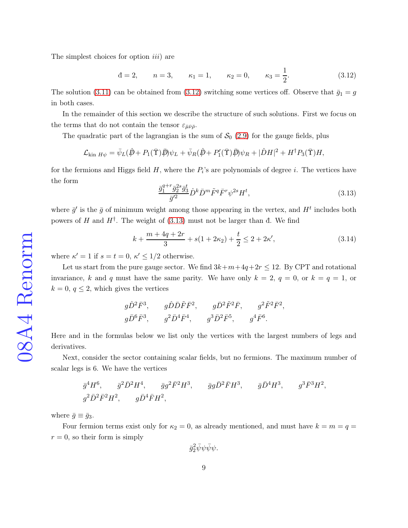The simplest choices for option *iii*) are

<span id="page-8-0"></span>
$$
d = 2,
$$
  $n = 3,$   $\kappa_1 = 1,$   $\kappa_2 = 0,$   $\kappa_3 = \frac{1}{2}.$  (3.12)

The solution [\(3.11\)](#page-7-1) can be obtained from [\(3.12\)](#page-8-0) switching some vertices off. Observe that  $\bar{g}_1 = g$ in both cases.

In the remainder of this section we describe the structure of such solutions. First we focus on the terms that do not contain the tensor  $\varepsilon_{\bar{n}\bar{\nu}\bar{\rho}}$ .

The quadratic part of the lagrangian is the sum of  $S_0$  [\(2.9\)](#page-4-0) for the gauge fields, plus

$$
\mathcal{L}_{\text{kin }H\psi} = \bar{\psi}_L(\hat{p} + P_1(\bar{\Upsilon})\bar{p})\psi_L + \bar{\psi}_R(\hat{p} + P'_1(\bar{\Upsilon})\bar{p})\psi_R + |\hat{D}H|^2 + H^{\dagger}P_3(\bar{\Upsilon})H,
$$

for the fermions and Higgs field  $H$ , where the  $P_i$ 's are polynomials of degree i. The vertices have the form

<span id="page-8-1"></span>
$$
\frac{\bar{g}_1^{q+r}\bar{g}_2^{2s}\bar{g}_3^t}{\bar{g}'^2}\hat{D}^k\bar{D}^m\tilde{F}^q\bar{F}^r\psi^{2s}H^t,\tag{3.13}
$$

where  $\bar{g}'$  is the  $\bar{g}$  of minimum weight among those appearing in the vertex, and  $H^t$  includes both powers of H and  $H^{\dagger}$ . The weight of [\(3.13\)](#page-8-1) must not be larger than đ. We find

$$
k + \frac{m + 4q + 2r}{3} + s(1 + 2\kappa_2) + \frac{t}{2} \le 2 + 2\kappa',\tag{3.14}
$$

where  $\kappa' = 1$  if  $s = t = 0, \, \kappa' \leq 1/2$  otherwise.

Let us start from the pure gauge sector. We find  $3k+m+4q+2r \leq 12$ . By CPT and rotational invariance, k and q must have the same parity. We have only  $k = 2$ ,  $q = 0$ , or  $k = q = 1$ , or  $k = 0, q \leq 2$ , which gives the vertices

$$
\begin{aligned} &g\hat{D}^2\bar{F}^3, \qquad &g\hat{D}\bar{D}\tilde{F}\bar{F}^2, \qquad &g\bar{D}^2\tilde{F}^2\bar{F}, \qquad &g^2\tilde{F}^2\bar{F}^2,\\ &g\bar{D}^6\bar{F}^3, \qquad &g^2\bar{D}^4\bar{F}^4, \qquad &g^3\bar{D}^2\bar{F}^5, \qquad &g^4\bar{F}^6. \end{aligned}
$$

Here and in the formulas below we list only the vertices with the largest numbers of legs and derivatives.

Next, consider the sector containing scalar fields, but no fermions. The maximum number of scalar legs is 6. We have the vertices

$$
\bar{g}^4 H^6, \qquad \bar{g}^2 \bar{D}^2 H^4, \qquad \bar{g} g^2 \bar{F}^2 H^3, \qquad \bar{g} g \bar{D}^2 \bar{F} H^3, \qquad \bar{g} \bar{D}^4 H^3, \qquad g^3 \bar{F}^3 H^2,
$$
  

$$
g^2 \bar{D}^2 \bar{F}^2 H^2, \qquad g \bar{D}^4 \bar{F} H^2,
$$

where  $\bar{g} \equiv \bar{g}_3$ .

Four fermion terms exist only for  $\kappa_2 = 0$ , as already mentioned, and must have  $k = m = q =$  $r = 0$ , so their form is simply

 $\bar{g}_2^2 \bar{\psi} \psi \bar{\psi} \psi.$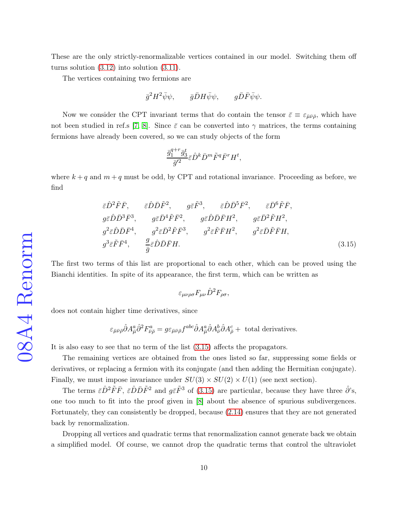These are the only strictly-renormalizable vertices contained in our model. Switching them off turns solution [\(3.12\)](#page-8-0) into solution [\(3.11\)](#page-7-1).

The vertices containing two fermions are

$$
\bar{g}^2 H^2 \bar{\psi} \psi, \qquad \bar{g} \bar{D} H \bar{\psi} \psi, \qquad g \bar{D} \bar{F} \bar{\psi} \psi.
$$

Now we consider the CPT invariant terms that do contain the tensor  $\bar{\varepsilon} \equiv \varepsilon_{\bar{\mu}\bar{\nu}\bar{\rho}}$ , which have not been studied in ref.s [\[7,](#page-23-3) [8\]](#page-23-4). Since  $\bar{\varepsilon}$  can be converted into  $\gamma$  matrices, the terms containing fermions have already been covered, so we can study objects of the form

$$
\frac{\bar{g}_1^{q+r}\bar{g}_3^t}{\bar{g}'^2}\bar{\varepsilon}\hat{D}^k\bar{D}^m\tilde{F}^q\bar{F}^rH^t,
$$

where  $k + q$  and  $m + q$  must be odd, by CPT and rotational invariance. Proceeding as before, we find

<span id="page-9-0"></span>
$$
\begin{aligned}\n\bar{\varepsilon}\hat{D}^2\tilde{F}\bar{F}, &\qquad \bar{\varepsilon}\hat{D}\bar{D}\tilde{F}^2, &\qquad g\bar{\varepsilon}\tilde{F}^3, &\qquad \bar{\varepsilon}\hat{D}\bar{D}^5\bar{F}^2, &\qquad \bar{\varepsilon}\bar{D}^6\tilde{F}\bar{F},\\
g\bar{\varepsilon}\hat{D}\bar{D}^3\bar{F}^3, &\qquad g\bar{\varepsilon}\bar{D}^4\tilde{F}\bar{F}^2, &\qquad g\bar{\varepsilon}\hat{D}\bar{D}\bar{F}H^2, &\qquad g\bar{\varepsilon}\bar{D}^2\tilde{F}H^2,\\
g^2\bar{\varepsilon}\hat{D}\bar{D}\bar{F}^4, &\qquad g^2\bar{\varepsilon}\bar{D}^2\tilde{F}\bar{F}^3, &\qquad g^2\bar{\varepsilon}\bar{F}\bar{F}H^2, &\qquad g^2\bar{\varepsilon}\bar{D}\tilde{F}\bar{F}H,\\
g^3\bar{\varepsilon}\tilde{F}\bar{F}^4, &\qquad \frac{g}{\bar{g}}\bar{\varepsilon}\hat{D}\bar{D}\bar{F}H.\n\end{aligned} \tag{3.15}
$$

The first two terms of this list are proportional to each other, which can be proved using the Bianchi identities. In spite of its appearance, the first term, which can be written as

$$
\varepsilon_{\mu\nu\rho\sigma} F_{\mu\nu} \hat{D}^2 F_{\rho\sigma},
$$

does not contain higher time derivatives, since

$$
\varepsilon_{\bar{\mu}\bar{\nu}\bar{\rho}}\hat{\partial}A^a_{\bar{\mu}}\hat{\partial}^2 F^a_{\bar{\nu}\bar{\rho}} = g\varepsilon_{\bar{\mu}\bar{\nu}\bar{\rho}}f^{abc}\hat{\partial}A^a_{\bar{\mu}}\hat{\partial}A^b_{\bar{\nu}}\hat{\partial}A^c_{\bar{\rho}} + \text{ total derivatives.}
$$

It is also easy to see that no term of the list [\(3.15\)](#page-9-0) affects the propagators.

The remaining vertices are obtained from the ones listed so far, suppressing some fields or derivatives, or replacing a fermion with its conjugate (and then adding the Hermitian conjugate). Finally, we must impose invariance under  $SU(3) \times SU(2) \times U(1)$  (see next section).

The terms  $\bar{\varepsilon}\hat{D}^2\tilde{F}\bar{F}$ ,  $\bar{\varepsilon}\hat{D}\bar{D}\tilde{F}^2$  and  $g\bar{\varepsilon}\tilde{F}^3$  of [\(3.15\)](#page-9-0) are particular, because they have three  $\hat{\partial}$ 's, one too much to fit into the proof given in [\[8\]](#page-23-4) about the absence of spurious subdivergences. Fortunately, they can consistently be dropped, because [\(2.14\)](#page-5-1) ensures that they are not generated back by renormalization.

Dropping all vertices and quadratic terms that renormalization cannot generate back we obtain a simplified model. Of course, we cannot drop the quadratic terms that control the ultraviolet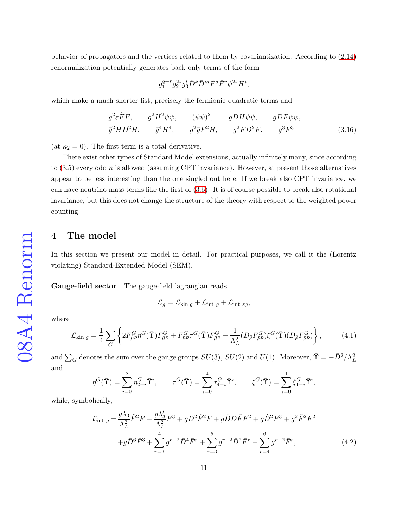behavior of propagators and the vertices related to them by covariantization. According to [\(2.14\)](#page-5-1) renormalization potentially generates back only terms of the form

$$
\bar{g}_1^{q+r} \bar{g}_2^{2s} \bar{g}_3^t \hat{D}^k \bar{D}^m \tilde{F}^q \bar{F}^r \psi^{2s} H^t,
$$

which make a much shorter list, precisely the fermionic quadratic terms and

$$
g^2 \bar{\varepsilon} \tilde{F} \bar{F}, \qquad \bar{g}^2 H^2 \bar{\psi} \psi, \qquad (\bar{\psi} \psi)^2, \qquad \bar{g} \bar{D} H \bar{\psi} \psi, \qquad g \bar{D} \bar{F} \bar{\psi} \psi, \bar{g}^2 H \bar{D}^2 H, \qquad \bar{g}^4 H^4, \qquad g^2 \bar{g} \bar{F}^2 H, \qquad g^2 \bar{F} \bar{D}^2 \bar{F}, \qquad g^3 \bar{F}^3
$$
\n(3.16)

(at  $\kappa_2 = 0$ ). The first term is a total derivative.

There exist other types of Standard Model extensions, actually infinitely many, since according to  $(3.5)$  every odd n is allowed (assuming CPT invariance). However, at present those alternatives appear to be less interesting than the one singled out here. If we break also CPT invariance, we can have neutrino mass terms like the first of [\(3.6\)](#page-7-3). It is of course possible to break also rotational invariance, but this does not change the structure of the theory with respect to the weighted power counting.

## 4 The model

In this section we present our model in detail. For practical purposes, we call it the (Lorentz violating) Standard-Extended Model (SEM).

Gauge-field sector The gauge-field lagrangian reads

$$
\mathcal{L}_g = \mathcal{L}_{\text{kin }g} + \mathcal{L}_{\text{int }g} + \mathcal{L}_{\text{int } \varepsilon g},
$$

where

<span id="page-10-0"></span>
$$
\mathcal{L}_{\text{kin }g} = \frac{1}{4} \sum_{G} \left\{ 2F_{\hat{\mu}\bar{\nu}}^G \eta^G(\bar{\Upsilon}) F_{\hat{\mu}\bar{\nu}}^G + F_{\bar{\mu}\bar{\nu}}^G \tau^G(\bar{\Upsilon}) F_{\bar{\mu}\bar{\nu}}^G + \frac{1}{\Lambda_L^2} (D_{\hat{\rho}} F_{\bar{\mu}\bar{\nu}}^G) \xi^G(\bar{\Upsilon}) (D_{\hat{\rho}} F_{\bar{\mu}\bar{\nu}}^G) \right\},\tag{4.1}
$$

and  $\sum_G$  denotes the sum over the gauge groups  $SU(3)$ ,  $SU(2)$  and  $U(1)$ . Moreover,  $\overline{\Upsilon} = -\overline{D}^2/\Lambda_L^2$ and

$$
\eta^G(\tilde{\Upsilon}) = \sum_{i=0}^2 \eta_{2-i}^G \tilde{\Upsilon}^i, \qquad \tau^G(\tilde{\Upsilon}) = \sum_{i=0}^4 \tau_{4-i}^G \tilde{\Upsilon}^i, \qquad \xi^G(\tilde{\Upsilon}) = \sum_{i=0}^1 \xi_{1-i}^G \tilde{\Upsilon}^i,
$$

while, symbolically,

<span id="page-10-1"></span>
$$
\mathcal{L}_{int\ g} = \frac{g\lambda_3}{\Lambda_L^2} \tilde{F}^2 \bar{F} + \frac{g\lambda_3'}{\Lambda_L^2} \bar{F}^3 + g\bar{D}^2 \tilde{F}^2 \bar{F} + g\hat{D}\bar{D}\tilde{F}\bar{F}^2 + g\hat{D}^2 \bar{F}^3 + g^2 \tilde{F}^2 \bar{F}^2 \n+ g\bar{D}^6 \bar{F}^3 + \sum_{r=3}^4 g^{r-2} \bar{D}^4 \bar{F}^r + \sum_{r=3}^5 g^{r-2} \bar{D}^2 \bar{F}^r + \sum_{r=4}^6 g^{r-2} \bar{F}^r, \tag{4.2}
$$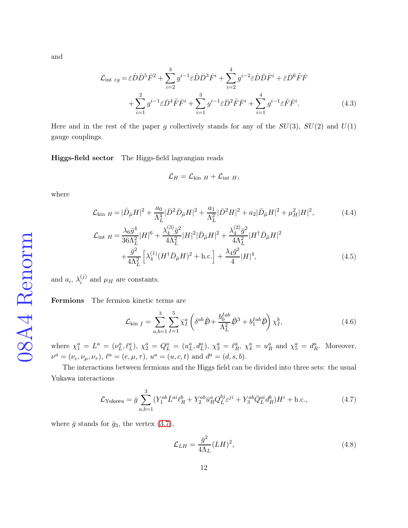and

<span id="page-11-4"></span>
$$
\mathcal{L}_{int\ \varepsilon g} = \bar{\varepsilon}\hat{D}\bar{D}^{5}\bar{F}^{2} + \sum_{i=2}^{3} g^{i-1}\bar{\varepsilon}\hat{D}\bar{D}^{3}\bar{F}^{i} + \sum_{i=2}^{4} g^{i-2}\bar{\varepsilon}\hat{D}\bar{D}\bar{F}^{i} + \bar{\varepsilon}\bar{D}^{6}\tilde{F}\bar{F} + \sum_{i=1}^{2} g^{i-1}\bar{\varepsilon}\bar{D}^{4}\tilde{F}\bar{F}^{i} + \sum_{i=1}^{3} g^{i-1}\bar{\varepsilon}\bar{D}^{2}\tilde{F}\bar{F}^{i} + \sum_{i=1}^{4} g^{i-1}\bar{\varepsilon}\tilde{F}\bar{F}^{i}.
$$
\n(4.3)

Here and in the rest of the paper g collectively stands for any of the  $SU(3)$ ,  $SU(2)$  and  $U(1)$ gauge couplings.

Higgs-field sector The Higgs-field lagrangian reads

$$
\mathcal{L}_H = \mathcal{L}_{\text{kin }H} + \mathcal{L}_{\text{int }H},
$$

where

<span id="page-11-0"></span>
$$
\mathcal{L}_{\text{kin }H} = |\hat{D}_{\hat{\mu}}H|^2 + \frac{a_0}{\Lambda_L^4} |\bar{D}^2 \bar{D}_{\bar{\mu}}H|^2 + \frac{a_1}{\Lambda_L^2} |\bar{D}^2 H|^2 + a_2 |\bar{D}_{\bar{\mu}}H|^2 + \mu_H^2 |H|^2, \tag{4.4}
$$

$$
\mathcal{L}_{int\ H} = \frac{\lambda_6 \bar{g}^4}{36\Lambda_L^2} |H|^6 + \frac{\lambda_4^{(3)} \bar{g}^2}{4\Lambda_L^2} |H|^2 |\bar{D}_{\bar{\mu}} H|^2 + \frac{\lambda_4^{(2)} \bar{g}^2}{4\Lambda_L^2} |H^{\dagger} \bar{D}_{\bar{\mu}} H|^2
$$
  
+ 
$$
\frac{\bar{g}^2}{4\Lambda_L^2} \left[ \lambda_4^{(1)} (H^{\dagger} \bar{D}_{\bar{\mu}} H)^2 + \text{h.c.} \right] + \frac{\lambda_4 \bar{g}^2}{4} |H|^4,
$$
(4.5)

and  $a_i$ ,  $\lambda_i^{(j)}$  $i^{(J)}$  and  $\mu$ <sub>H</sub> are constants.

Fermions The fermion kinetic terms are

<span id="page-11-1"></span>
$$
\mathcal{L}_{\text{kin }f} = \sum_{a,b=1}^{3} \sum_{I=1}^{5} \bar{\chi}_{I}^{a} \left( \delta^{ab} \hat{\mathcal{P}} + \frac{b_0^{Iab}}{\Lambda_L^2} \bar{\mathcal{P}}^3 + b_1^{Iab} \bar{\mathcal{P}} \right) \chi_{I}^{b}, \tag{4.6}
$$

where  $\chi_1^a = L^a = (\nu_L^a, \ell_L^a), \chi_2^a = Q_L^a = (u_L^a, d_L^a), \chi_3^a = \ell_R^a, \chi_4^a = u_R^a$  and  $\chi_5^a = d_R^a$ . Moreover,  $\nu^a = (\nu_e, \nu_\mu, \nu_\tau), \ell^a = (e, \mu, \tau), u^a = (u, c, t) \text{ and } d^a = (d, s, b).$ 

The interactions between fermions and the Higgs field can be divided into three sets: the usual Yukawa interactions

<span id="page-11-2"></span>
$$
\mathcal{L}_{\text{Yukawa}} = \bar{g} \sum_{a,b=1}^{3} (Y_1^{ab} \bar{L}^{ai} \ell_R^b + Y_2^{ab} \bar{u}_R^a Q_L^{bj} \varepsilon^{ji} + Y_3^{ab} \bar{Q}_L^{ai} d_R^b) H^i + \text{h.c.},\tag{4.7}
$$

where  $\bar{g}$  stands for  $\bar{g}_3$ , the vertex [\(3.7\)](#page-7-0),

<span id="page-11-3"></span>
$$
\mathcal{L}_{LH} = \frac{\bar{g}^2}{4\Lambda_L} (LH)^2, \tag{4.8}
$$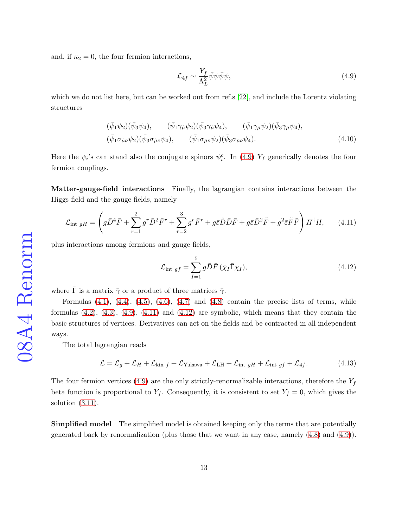and, if  $\kappa_2 = 0$ , the four fermion interactions,

<span id="page-12-0"></span>
$$
\mathcal{L}_{4f} \sim \frac{Y_f}{\Lambda_L^2} \bar{\psi} \psi \bar{\psi} \psi, \tag{4.9}
$$

which we do not list here, but can be worked out from ref.s [\[22\]](#page-25-0), and include the Lorentz violating structures

<span id="page-12-3"></span>
$$
(\bar{\psi}_1 \psi_2)(\bar{\psi}_3 \psi_4), \qquad (\bar{\psi}_1 \gamma_{\hat{\mu}} \psi_2)(\bar{\psi}_3 \gamma_{\hat{\mu}} \psi_4), \qquad (\bar{\psi}_1 \gamma_{\bar{\mu}} \psi_2)(\bar{\psi}_3 \gamma_{\bar{\mu}} \psi_4), (\bar{\psi}_1 \sigma_{\hat{\mu}\bar{\nu}} \psi_2)(\bar{\psi}_3 \sigma_{\hat{\mu}\bar{\nu}} \psi_4), \qquad (\bar{\psi}_1 \sigma_{\bar{\mu}\bar{\nu}} \psi_2)(\bar{\psi}_3 \sigma_{\bar{\mu}\bar{\nu}} \psi_4).
$$
\n(4.10)

Here the  $\psi_i$ 's can stand also the conjugate spinors  $\psi_i^c$ . In [\(4.9\)](#page-12-0)  $Y_f$  generically denotes the four fermion couplings.

Matter-gauge-field interactions Finally, the lagrangian contains interactions between the Higgs field and the gauge fields, namely

<span id="page-12-1"></span>
$$
\mathcal{L}_{int\;gH} = \left(g\bar{D}^4\bar{F} + \sum_{r=1}^2 g^r \bar{D}^2\bar{F}^r + \sum_{r=2}^3 g^r \bar{F}^r + g\bar{\varepsilon}\hat{D}\bar{D}\bar{F} + g\bar{\varepsilon}\bar{D}^2\tilde{F} + g^2\bar{\varepsilon}\tilde{F}\bar{F}\right)H^{\dagger}H,\tag{4.11}
$$

plus interactions among fermions and gauge fields,

<span id="page-12-2"></span>
$$
\mathcal{L}_{int\ gf} = \sum_{I=1}^{5} g\bar{D}\bar{F} \left(\bar{\chi}_{I}\bar{\Gamma}\chi_{I}\right),\tag{4.12}
$$

where  $\bar{\Gamma}$  is a matrix  $\bar{\gamma}$  or a product of three matrices  $\bar{\gamma}$ .

Formulas  $(4.1)$ ,  $(4.4)$ ,  $(4.5)$ ,  $(4.6)$ ,  $(4.7)$  and  $(4.8)$  contain the precise lists of terms, while formulas  $(4.2)$ ,  $(4.3)$ ,  $(4.9)$ ,  $(4.11)$  and  $(4.12)$  are symbolic, which means that they contain the basic structures of vertices. Derivatives can act on the fields and be contracted in all independent ways.

The total lagrangian reads

<span id="page-12-4"></span>
$$
\mathcal{L} = \mathcal{L}_g + \mathcal{L}_H + \mathcal{L}_{\text{kin } f} + \mathcal{L}_{\text{Yukawa}} + \mathcal{L}_{\text{LH}} + \mathcal{L}_{\text{int } gH} + \mathcal{L}_{\text{int } gf} + \mathcal{L}_{4f}.
$$
 (4.13)

The four fermion vertices [\(4.9\)](#page-12-0) are the only strictly-renormalizable interactions, therefore the  $Y_f$ beta function is proportional to  $Y_f$ . Consequently, it is consistent to set  $Y_f = 0$ , which gives the solution [\(3.11\)](#page-7-1).

**Simplified model** The simplified model is obtained keeping only the terms that are potentially generated back by renormalization (plus those that we want in any case, namely [\(4.8\)](#page-11-3) and [\(4.9\)](#page-12-0)).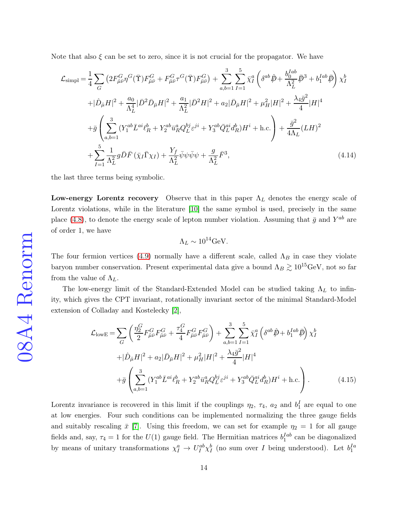Note that also  $\xi$  can be set to zero, since it is not crucial for the propagator. We have

<span id="page-13-0"></span>
$$
\mathcal{L}_{\text{simpl}} = \frac{1}{4} \sum_{G} \left( 2F_{\hat{\mu}\bar{\nu}}^{G} \eta^{G} (\bar{\Upsilon}) F_{\hat{\mu}\bar{\nu}}^{G} + F_{\bar{\mu}\bar{\nu}}^{G} \tau^{G} (\bar{\Upsilon}) F_{\bar{\mu}\bar{\nu}}^{G} \right) + \sum_{a,b=1}^{3} \sum_{I=1}^{5} \bar{\chi}_{I}^{a} \left( \delta^{ab} \hat{p} + \frac{b_{0}^{Iab}}{\Lambda_{L}^{2}} \bar{p}^{3} + b_{1}^{Iab} \bar{p} \right) \chi_{I}^{b}
$$
  
+|\hat{D}\_{\hat{\mu}} H|^{2} + \frac{a\_{0}}{\Lambda\_{L}^{4}} |\bar{D}^{2} \bar{D}\_{\bar{\mu}} H|^{2} + \frac{a\_{1}}{\Lambda\_{L}^{2}} |\bar{D}^{2} H|^{2} + a\_{2} |\bar{D}\_{\bar{\mu}} H|^{2} + \mu\_{H}^{2} |H|^{2} + \frac{\lambda\_{4} \bar{g}^{2}}{4} |H|^{4}  
+ \bar{g} \left( \sum\_{a,b=1}^{3} (Y\_{1}^{ab} \bar{L}^{ai} \ell\_{R}^{b} + Y\_{2}^{ab} \bar{u}\_{R}^{a} Q\_{L}^{bj} \bar{\varepsilon}^{ji} + Y\_{3}^{ab} \bar{Q}\_{L}^{ai} \bar{d}\_{R}^{b} \right) H^{i} + \text{h.c.} \right) + \frac{\bar{g}^{2}}{4 \Lambda\_{L}} (LH)^{2}  
+ \sum\_{I=1}^{5} \frac{1}{\Lambda\_{L}^{2}} g \bar{D} \bar{F} (\bar{\chi}\_{I} \bar{\Gamma} \chi\_{I}) + \frac{Y\_{f}}{\Lambda\_{L}^{2}} \bar{\psi} \psi \bar{\psi} \psi + \frac{g}{\Lambda\_{L}^{2}} \bar{F}^{3}, \tag{4.14}

the last three terms being symbolic.

Low-energy Lorentz recovery Observe that in this paper  $\Lambda_L$  denotes the energy scale of Lorentz violations, while in the literature [\[10\]](#page-23-6) the same symbol is used, precisely in the same place [\(4.8\)](#page-11-3), to denote the energy scale of lepton number violation. Assuming that  $\bar{g}$  and  $Y^{ab}$  are of order 1, we have

$$
\Lambda_L \sim 10^{14} \text{GeV}.
$$

The four fermion vertices [\(4.9\)](#page-12-0) normally have a different scale, called  $\Lambda_B$  in case they violate baryon number conservation. Present experimental data give a bound  $\Lambda_B \gtrsim 10^{15} \text{GeV}$ , not so far from the value of  $\Lambda_L$ .

The low-energy limit of the Standard-Extended Model can be studied taking  $\Lambda_L$  to infinity, which gives the CPT invariant, rotationally invariant sector of the minimal Standard-Model extension of Colladay and Kostelecky [\[2\]](#page-22-1),

<span id="page-13-1"></span>
$$
\mathcal{L}_{\text{lowE}} = \sum_{G} \left( \frac{\eta_2^G}{2} F_{\hat{\mu}\bar{\nu}}^G F_{\hat{\mu}\bar{\nu}}^G + \frac{\tau_4^G}{4} F_{\bar{\mu}\bar{\nu}}^G F_{\bar{\mu}\bar{\nu}}^G \right) + \sum_{a,b=1}^3 \sum_{I=1}^5 \bar{\chi}_I^a \left( \delta^{ab} \hat{\mathcal{P}} + b_1^{Iab} \bar{\mathcal{P}} \right) \chi_I^b
$$
  
 
$$
+ |\hat{D}_{\hat{\mu}} H|^2 + a_2 |\bar{D}_{\bar{\mu}} H|^2 + \mu_H^2 |H|^2 + \frac{\lambda_4 \bar{g}^2}{4} |H|^4
$$
  
 
$$
+ \bar{g} \left( \sum_{a,b=1}^3 (Y_1^{ab} \bar{L}^{ai} \ell_R^b + Y_2^{ab} \bar{u}_R^a Q_L^{bj} \varepsilon^{ji} + Y_3^{ab} \bar{Q}_L^{ai} d_R^b) H^i + \text{h.c.} \right).
$$
 (4.15)

Lorentz invariance is recovered in this limit if the couplings  $\eta_2$ ,  $\tau_4$ ,  $a_2$  and  $b_1^I$  are equal to one at low energies. Four such conditions can be implemented normalizing the three gauge fields and suitably rescaling  $\bar{x}$  [\[7\]](#page-23-3). Using this freedom, we can set for example  $\eta_2 = 1$  for all gauge fields and, say,  $\tau_4 = 1$  for the  $U(1)$  gauge field. The Hermitian matrices  $b_1^{Iab}$  can be diagonalized by means of unitary transformations  $\chi_I^a \to U_I^{ab} \chi_I^b$  (no sum over I being understood). Let  $b_1^{Ia}$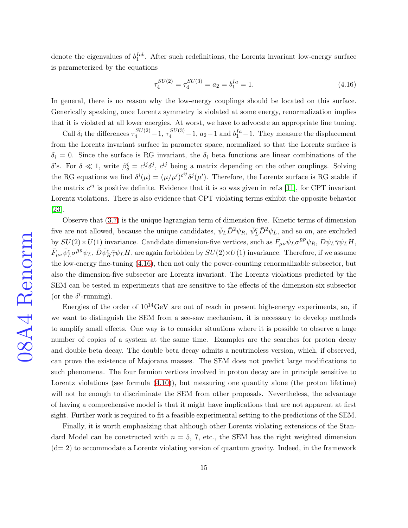denote the eigenvalues of  $b_1^{Iab}$ . After such redefinitions, the Lorentz invariant low-energy surface is parameterized by the equations

<span id="page-14-0"></span>
$$
\tau_4^{SU(2)} = \tau_4^{SU(3)} = a_2 = b_1^{Ia} = 1.
$$
\n(4.16)

In general, there is no reason why the low-energy couplings should be located on this surface. Generically speaking, once Lorentz symmetry is violated at some energy, renormalization implies that it is violated at all lower energies. At worst, we have to advocate an appropriate fine tuning.

Call  $\delta_i$  the differences  $\tau_4^{SU(2)}-1$ ,  $\tau_4^{SU(3)}-1$ ,  $a_2-1$  and  $b_1^{Ia}-1$ . They measure the displacement from the Lorentz invariant surface in parameter space, normalized so that the Lorentz surface is  $\delta_i = 0$ . Since the surface is RG invariant, the  $\delta_i$  beta functions are linear combinations of the δ's. For  $\delta \ll 1$ , write  $\beta^i_\delta = c^{ij} \delta^j$ ,  $c^{ij}$  being a matrix depending on the other couplings. Solving the RG equations we find  $\delta^{i}(\mu) = (\mu/\mu')^{c^{ij}} \delta^{j}(\mu')$ . Therefore, the Lorentz surface is RG stable if the matrix  $c^{ij}$  is positive definite. Evidence that it is so was given in ref.s [\[11\]](#page-23-7), for CPT invariant Lorentz violations. There is also evidence that CPT violating terms exhibit the opposite behavior [\[23\]](#page-25-1).

Observe that [\(3.7\)](#page-7-0) is the unique lagrangian term of dimension five. Kinetic terms of dimension five are not allowed, because the unique candidates,  $\bar{\psi}_L \bar{D}^2 \psi_R$ ,  $\bar{\psi}_L^c \bar{D}^2 \psi_L$ , and so on, are excluded by  $SU(2) \times U(1)$  invariance. Candidate dimension-five vertices, such as  $\bar{F}_{\mu\nu}\bar{\psi}_L\sigma^{\bar{\mu}\bar{\nu}}\psi_R$ ,  $\bar{D}\bar{\psi}_L\bar{\gamma}\psi_L H$ ,  $\bar F_{\mu\nu}\bar\psi_L^c\sigma^{\bar\mu\bar\nu}\psi_L,\,\bar D\bar\psi_R^c\bar\gamma\psi_L H,$  are again forbidden by  $SU(2)\times U(1)$  invariance. Therefore, if we assume the low-energy fine-tuning [\(4.16\)](#page-14-0), then not only the power-counting renormalizable subsector, but also the dimension-five subsector are Lorentz invariant. The Lorentz violations predicted by the SEM can be tested in experiments that are sensitive to the effects of the dimension-six subsector (or the  $\delta^i$ -running).

Energies of the order of  $10^{14}$ GeV are out of reach in present high-energy experiments, so, if we want to distinguish the SEM from a see-saw mechanism, it is necessary to develop methods to amplify small effects. One way is to consider situations where it is possible to observe a huge number of copies of a system at the same time. Examples are the searches for proton decay and double beta decay. The double beta decay admits a neutrinoless version, which, if observed, can prove the existence of Majorana masses. The SEM does not predict large modifications to such phenomena. The four fermion vertices involved in proton decay are in principle sensitive to Lorentz violations (see formula [\(4.10\)](#page-12-3)), but measuring one quantity alone (the proton lifetime) will not be enough to discriminate the SEM from other proposals. Nevertheless, the advantage of having a comprehensive model is that it might have implications that are not apparent at first sight. Further work is required to fit a feasible experimental setting to the predictions of the SEM.

Finally, it is worth emphasizing that although other Lorentz violating extensions of the Standard Model can be constructed with  $n = 5, 7$ , etc., the SEM has the right weighted dimension (đ= 2) to accommodate a Lorentz violating version of quantum gravity. Indeed, in the framework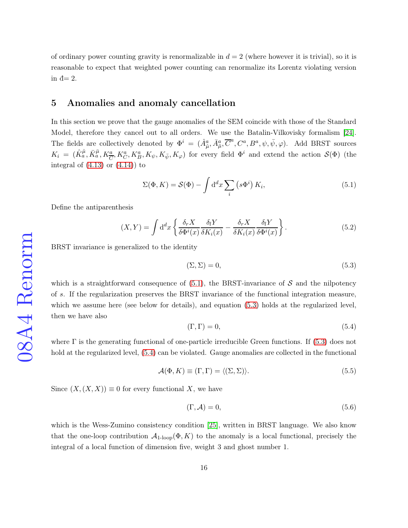#### 5 Anomalies and anomaly cancellation

In this section we prove that the gauge anomalies of the SEM coincide with those of the Standard Model, therefore they cancel out to all orders. We use the Batalin-Vilkovisky formalism [\[24\]](#page-25-2). The fields are collectively denoted by  $\Phi^i = (\hat{A}^a_{\hat{\mu}}, \bar{A}^a_{\bar{\mu}}, \bar{C}^a, C^a, B^a, \psi, \bar{\psi}, \varphi)$ . Add BRST sources  $K_i = (\hat{K}_a^{\hat{\mu}}, \bar{K}_a^{\bar{\mu}}, K_a^a, K_a^a, K_b^a, K_{\psi}, K_{\bar{\psi}}, K_{\varphi})$  for every field  $\Phi^i$  and extend the action  $\mathcal{S}(\Phi)$  (the integral of  $(4.13)$  or  $(4.14)$  to

<span id="page-15-0"></span>
$$
\Sigma(\Phi, K) = \mathcal{S}(\Phi) - \int d^d x \sum_i (s\Phi^i) K_i,
$$
\n(5.1)

Define the antiparenthesis

$$
(X,Y) = \int d^d x \left\{ \frac{\delta_r X}{\delta \Phi^i(x)} \frac{\delta_l Y}{\delta K_i(x)} - \frac{\delta_r X}{\delta K_i(x)} \frac{\delta_l Y}{\delta \Phi^i(x)} \right\}.
$$
 (5.2)

BRST invariance is generalized to the identity

<span id="page-15-1"></span>
$$
(\Sigma, \Sigma) = 0,\tag{5.3}
$$

which is a straightforward consequence of  $(5.1)$ , the BRST-invariance of S and the nilpotency of s. If the regularization preserves the BRST invariance of the functional integration measure, which we assume here (see below for details), and equation [\(5.3\)](#page-15-1) holds at the regularized level, then we have also

<span id="page-15-2"></span>
$$
(\Gamma, \Gamma) = 0,\tag{5.4}
$$

where  $\Gamma$  is the generating functional of one-particle irreducible Green functions. If [\(5.3\)](#page-15-1) does not hold at the regularized level, [\(5.4\)](#page-15-2) can be violated. Gauge anomalies are collected in the functional

$$
\mathcal{A}(\Phi, K) \equiv (\Gamma, \Gamma) = \langle (\Sigma, \Sigma) \rangle. \tag{5.5}
$$

Since  $(X,(X,X)) \equiv 0$  for every functional X, we have

<span id="page-15-3"></span>
$$
(\Gamma, \mathcal{A}) = 0,\tag{5.6}
$$

which is the Wess-Zumino consistency condition [\[25\]](#page-25-3), written in BRST language. We also know that the one-loop contribution  $\mathcal{A}_{1-loop}(\Phi, K)$  to the anomaly is a local functional, precisely the integral of a local function of dimension five, weight 3 and ghost number 1.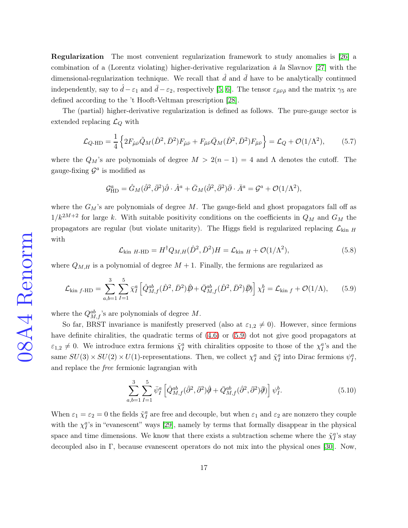Regularization The most convenient regularization framework to study anomalies is [\[26\]](#page-25-4) a combination of a (Lorentz violating) higher-derivative regularization à la Slavnov [\[27\]](#page-25-5) with the dimensional-regularization technique. We recall that  $\hat{d}$  and  $\bar{d}$  have to be analytically continued independently, say to  $\hat{d} - \varepsilon_1$  and  $\bar{d} - \varepsilon_2$ , respectively [\[5,](#page-23-1) [6\]](#page-23-2). The tensor  $\varepsilon_{\bar{\mu}\bar{\nu}\bar{\rho}}$  and the matrix  $\gamma_5$  are defined according to the 't Hooft-Veltman prescription [\[28\]](#page-25-6).

The (partial) higher-derivative regularization is defined as follows. The pure-gauge sector is extended replacing  $\mathcal{L}_Q$  with

$$
\mathcal{L}_{Q\text{-HD}} = \frac{1}{4} \left\{ 2F_{\hat{\mu}\bar{\nu}} \tilde{Q}_M (\hat{D}^2, \bar{D}^2) F_{\hat{\mu}\bar{\nu}} + F_{\bar{\mu}\bar{\nu}} \bar{Q}_M (\hat{D}^2, \bar{D}^2) F_{\bar{\mu}\bar{\nu}} \right\} = \mathcal{L}_Q + \mathcal{O}(1/\Lambda^2),\tag{5.7}
$$

where the  $Q_M$ 's are polynomials of degree  $M > 2(n-1) = 4$  and  $\Lambda$  denotes the cutoff. The gauge-fixing  $\mathcal{G}^a$  is modified as

$$
\mathcal{G}_{\rm HD}^a = \hat{G}_M(\hat{\partial}^2, \bar{\partial}^2)\hat{\partial} \cdot \hat{A}^a + \bar{G}_M(\hat{\partial}^2, \bar{\partial}^2)\bar{\partial} \cdot \bar{A}^a = \mathcal{G}^a + \mathcal{O}(1/\Lambda^2),
$$

where the  $G_M$ 's are polynomials of degree M. The gauge-field and ghost propagators fall off as  $1/k^{2M+2}$  for large k. With suitable positivity conditions on the coefficients in  $Q_M$  and  $G_M$  the propagators are regular (but violate unitarity). The Higgs field is regularized replacing  $\mathcal{L}_{kin H}$ with

<span id="page-16-2"></span>
$$
\mathcal{L}_{\text{kin }H\text{-HD}} = H^{\dagger} Q_{M,H} (\hat{D}^2, \bar{D}^2) H = \mathcal{L}_{\text{kin }H} + \mathcal{O}(1/\Lambda^2), \tag{5.8}
$$

where  $Q_{M,H}$  is a polynomial of degree  $M + 1$ . Finally, the fermions are regularized as

<span id="page-16-0"></span>
$$
\mathcal{L}_{\text{kin }f\text{-HD}} = \sum_{a,b=1}^{3} \sum_{I=1}^{5} \bar{\chi}_{I}^{a} \left[ \hat{Q}_{M,f}^{ab} (\hat{D}^{2}, \bar{D}^{2}) \hat{\not{D}} + \bar{Q}_{M,f}^{ab} (\hat{D}^{2}, \bar{D}^{2}) \bar{\not{D}} \right] \chi_{I}^{b} = \mathcal{L}_{\text{kin }f} + \mathcal{O}(1/\Lambda), \quad (5.9)
$$

where the  $Q_{M,f}^{ab}$ 's are polynomials of degree M.

So far, BRST invariance is manifestly preserved (also at  $\varepsilon_{1,2} \neq 0$ ). However, since fermions have definite chiralities, the quadratic terms of  $(4.6)$  or  $(5.9)$  dot not give good propagators at  $\varepsilon_{1,2} \neq 0$ . We introduce extra fermions  $\tilde{\chi}_I^a$  with chiralities opposite to those of the  $\chi_I^a$ 's and the same  $SU(3) \times SU(2) \times U(1)$ -representations. Then, we collect  $\chi_I^a$  and  $\tilde{\chi}_I^a$  into Dirac fermions  $\psi_I^a$ , and replace the free fermionic lagrangian with

<span id="page-16-1"></span>
$$
\sum_{a,b=1}^{3} \sum_{I=1}^{5} \bar{\psi}_{I}^{a} \left[ \hat{Q}_{M,f}^{ab} (\hat{\partial}^{2}, \bar{\partial}^{2}) \hat{\partial} + \bar{Q}_{M,f}^{ab} (\hat{\partial}^{2}, \bar{\partial}^{2}) \bar{\partial} \right] \psi_{I}^{b}.
$$
 (5.10)

When  $\varepsilon_1 = \varepsilon_2 = 0$  the fields  $\tilde{\chi}_I^a$  are free and decouple, but when  $\varepsilon_1$  and  $\varepsilon_2$  are nonzero they couple with the  $\chi_l^a$ 's in "evanescent" ways [\[29\]](#page-25-7), namely by terms that formally disappear in the physical space and time dimensions. We know that there exists a subtraction scheme where the  $\tilde{\chi}_I^a$ 's stay decoupled also in Γ, because evanescent operators do not mix into the physical ones [\[30\]](#page-25-8). Now,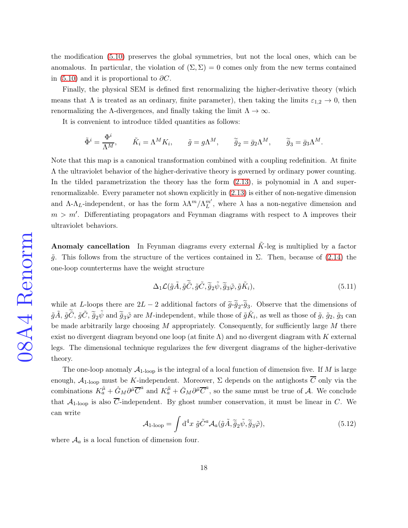the modification [\(5.10\)](#page-16-1) preserves the global symmetries, but not the local ones, which can be anomalous. In particular, the violation of  $(\Sigma, \Sigma) = 0$  comes only from the new terms contained in [\(5.10\)](#page-16-1) and it is proportional to  $\partial C$ .

Finally, the physical SEM is defined first renormalizing the higher-derivative theory (which means that  $\Lambda$  is treated as an ordinary, finite parameter), then taking the limits  $\varepsilon_{1,2} \to 0$ , then renormalizing the Λ-divergences, and finally taking the limit  $Λ \rightarrow ∞$ .

It is convenient to introduce tilded quantities as follows:

$$
\tilde{\Phi}^i = \frac{\Phi^i}{\Lambda^M}, \qquad \tilde{K}_i = \Lambda^M K_i, \qquad \tilde{g} = g\Lambda^M, \qquad \tilde{\bar{g}}_2 = \bar{g}_2 \Lambda^M, \qquad \tilde{\bar{g}}_3 = \bar{g}_3 \Lambda^M.
$$

Note that this map is a canonical transformation combined with a coupling redefinition. At finite Λ the ultraviolet behavior of the higher-derivative theory is governed by ordinary power counting. In the tilded parametrization the theory has the form  $(2.13)$ , is polynomial in  $\Lambda$  and superrenormalizable. Every parameter not shown explicitly in [\(2.13\)](#page-5-0) is either of non-negative dimension and  $\Lambda$ - $\Lambda_L$ -independent, or has the form  $\lambda \Lambda^m / \Lambda_L^{m'}$ , where  $\lambda$  has a non-negative dimension and  $m > m'$ . Differentiating propagators and Feynman diagrams with respect to  $\Lambda$  improves their ultraviolet behaviors.

**Anomaly cancellation** In Feynman diagrams every external  $\tilde{K}$ -leg is multiplied by a factor  $\tilde{g}$ . This follows from the structure of the vertices contained in Σ. Then, because of [\(2.14\)](#page-5-1) the one-loop counterterms have the weight structure

$$
\Delta_1 \mathcal{L}(\tilde{g}\tilde{A}, \tilde{g}\tilde{C}, \tilde{g}\tilde{C}, \tilde{\bar{g}}_2 \tilde{\psi}, \tilde{\bar{g}}_3 \tilde{\varphi}, \tilde{g}\tilde{K}_i), \tag{5.11}
$$

while at L-loops there are  $2L - 2$  additional factors of  $\tilde{g}$ - $\bar{g}_2$ - $\bar{g}_3$ . Observe that the dimensions of  $\tilde{g}\tilde{A}$ ,  $\tilde{g}\tilde{C}$ ,  $\tilde{g}\tilde{C}$ ,  $\tilde{g}_2\tilde{\psi}$  and  $\tilde{g}_3\tilde{\varphi}$  are M-independent, while those of  $\tilde{g}\tilde{K}_i$ , as well as those of  $\tilde{g}$ ,  $\tilde{g}_2$ ,  $\tilde{g}_3$  can be made arbitrarily large choosing  $M$  appropriately. Consequently, for sufficiently large  $M$  there exist no divergent diagram beyond one loop (at finite  $\Lambda$ ) and no divergent diagram with K external legs. The dimensional technique regularizes the few divergent diagrams of the higher-derivative theory.

The one-loop anomaly  $A_{1-loop}$  is the integral of a local function of dimension five. If M is large enough,  $A_{1-loop}$  must be K-independent. Moreover,  $\Sigma$  depends on the antighosts  $\overline{C}$  only via the combinations  $K_a^{\hat{\mu}} + \hat{G}_M \partial^{\hat{\mu}} \overline{C}^a$  and  $K_a^{\bar{\mu}} + \bar{G}_M \partial^{\bar{\mu}} \overline{C}^a$ , so the same must be true of A. We conclude that  $\mathcal{A}_{1-loop}$  is also  $\overline{C}$ -independent. By ghost number conservation, it must be linear in C. We can write

$$
\mathcal{A}_{1\text{-loop}} = \int d^4x \ \tilde{g} \tilde{C}^a \mathcal{A}_a(\tilde{g}\tilde{A}, \tilde{\bar{g}}_2 \tilde{\psi}, \tilde{\bar{g}}_3 \tilde{\varphi}), \tag{5.12}
$$

where  $A_a$  is a local function of dimension four.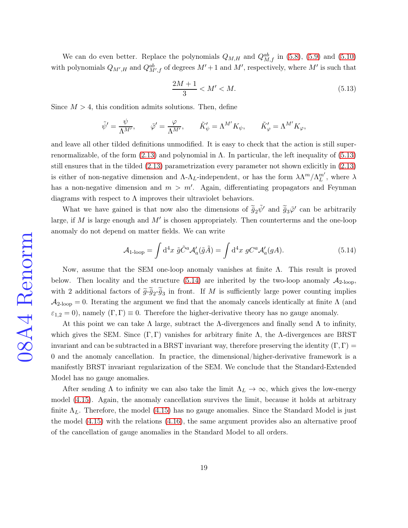We can do even better. Replace the polynomials  $Q_{M,H}$  and  $Q_{M,f}^{ab}$  in [\(5.8\)](#page-16-2), [\(5.9\)](#page-16-0) and [\(5.10\)](#page-16-1) with polynomials  $Q_{M',H}$  and  $Q_{M',f}^{ab}$  of degrees  $M'+1$  and  $M'$ , respectively, where  $M'$  is such that

<span id="page-18-0"></span>
$$
\frac{2M+1}{3} < M' < M. \tag{5.13}
$$

Since  $M > 4$ , this condition admits solutions. Then, define

$$
\tilde{\psi}'=\frac{\psi}{\Lambda^{M'}},\qquad \tilde{\varphi}'=\frac{\varphi}{\Lambda^{M'}},\qquad \tilde{K}'_{\psi}=\Lambda^{M'}K_{\psi},\qquad \tilde{K}'_{\varphi}=\Lambda^{M'}K_{\varphi},
$$

and leave all other tilded definitions unmodified. It is easy to check that the action is still superrenormalizable, of the form [\(2.13\)](#page-5-0) and polynomial in Λ. In particular, the left inequality of [\(5.13\)](#page-18-0) still ensures that in the tilded [\(2.13\)](#page-5-0) parametrization every parameter not shown exlicitly in [\(2.13\)](#page-5-0) is either of non-negative dimension and  $\Lambda$ - $\Lambda_L$ -independent, or has the form  $\lambda \Lambda^m/\Lambda_L^{m'}$ , where  $\lambda$ has a non-negative dimension and  $m > m'$ . Again, differentiating propagators and Feynman diagrams with respect to  $\Lambda$  improves their ultraviolet behaviors.

What we have gained is that now also the dimensions of  $\tilde{g}_2\tilde{\psi}'$  and  $\tilde{g}_3\tilde{\varphi}'$  can be arbitrarily large, if M is large enough and  $M'$  is chosen appropriately. Then counterterms and the one-loop anomaly do not depend on matter fields. We can write

<span id="page-18-1"></span>
$$
\mathcal{A}_{1\text{-loop}} = \int d^4x \ \tilde{g} \tilde{C}^a \mathcal{A}'_a(\tilde{g}\tilde{A}) = \int d^4x \ gC^a \mathcal{A}'_a(gA). \tag{5.14}
$$

Now, assume that the SEM one-loop anomaly vanishes at finite  $\Lambda$ . This result is proved below. Then locality and the structure  $(5.14)$  are inherited by the two-loop anomaly  $\mathcal{A}_{2-loop}$ , with 2 additional factors of  $\tilde{g}$ - $\bar{g}_2$ - $\bar{g}_3$  in front. If M is sufficiently large power counting implies  $\mathcal{A}_{2\text{-loop}} = 0$ . Iterating the argument we find that the anomaly cancels identically at finite  $\Lambda$  (and  $\varepsilon_{1,2} = 0$ ), namely  $(\Gamma, \Gamma) \equiv 0$ . Therefore the higher-derivative theory has no gauge anomaly.

At this point we can take  $\Lambda$  large, subtract the  $\Lambda$ -divergences and finally send  $\Lambda$  to infinity, which gives the SEM. Since  $(\Gamma, \Gamma)$  vanishes for arbitrary finite  $\Lambda$ , the  $\Lambda$ -divergences are BRST invariant and can be subtracted in a BRST invariant way, therefore preserving the identity  $(\Gamma, \Gamma)$  = 0 and the anomaly cancellation. In practice, the dimensional/higher-derivative framework is a manifestly BRST invariant regularization of the SEM. We conclude that the Standard-Extended Model has no gauge anomalies.

After sending  $\Lambda$  to infinity we can also take the limit  $\Lambda_L \to \infty$ , which gives the low-energy model [\(4.15\)](#page-13-1). Again, the anomaly cancellation survives the limit, because it holds at arbitrary finite  $\Lambda_L$ . Therefore, the model [\(4.15\)](#page-13-1) has no gauge anomalies. Since the Standard Model is just the model [\(4.15\)](#page-13-1) with the relations [\(4.16\)](#page-14-0), the same argument provides also an alternative proof of the cancellation of gauge anomalies in the Standard Model to all orders.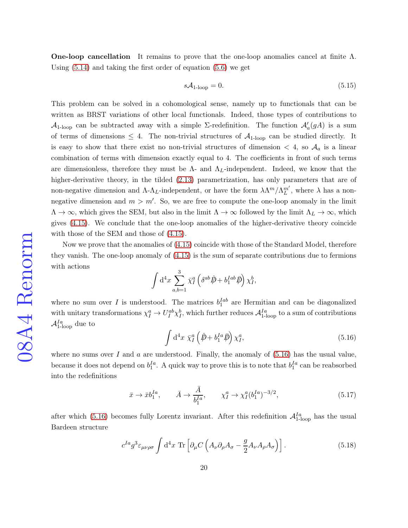**One-loop cancellation** It remains to prove that the one-loop anomalies cancel at finite  $\Lambda$ . Using [\(5.14\)](#page-18-1) and taking the first order of equation [\(5.6\)](#page-15-3) we get

$$
s\mathcal{A}_{1\text{-loop}} = 0.\tag{5.15}
$$

This problem can be solved in a cohomological sense, namely up to functionals that can be written as BRST variations of other local functionals. Indeed, those types of contributions to  $\mathcal{A}_{1\text{-loop}}$  can be subtracted away with a simple  $\Sigma$ -redefinition. The function  $\mathcal{A}'_a(gA)$  is a sum of terms of dimensions  $\leq 4$ . The non-trivial structures of  $\mathcal{A}_{1-loop}$  can be studied directly. It is easy to show that there exist no non-trivial structures of dimension  $\lt$  4, so  $\mathcal{A}_a$  is a linear combination of terms with dimension exactly equal to 4. The coefficients in front of such terms are dimensionless, therefore they must be  $\Lambda$ - and  $\Lambda_L$ -independent. Indeed, we know that the higher-derivative theory, in the tilded  $(2.13)$  parametrization, has only parameters that are of non-negative dimension and  $\Lambda$ - $\Lambda_L$ -independent, or have the form  $\lambda \Lambda^m / \Lambda_L^{m'}$ , where  $\lambda$  has a nonnegative dimension and  $m > m'$ . So, we are free to compute the one-loop anomaly in the limit  $\Lambda \to \infty$ , which gives the SEM, but also in the limit  $\Lambda \to \infty$  followed by the limit  $\Lambda_L \to \infty$ , which gives [\(4.15\)](#page-13-1). We conclude that the one-loop anomalies of the higher-derivative theory coincide with those of the SEM and those of [\(4.15\)](#page-13-1).

Now we prove that the anomalies of [\(4.15\)](#page-13-1) coincide with those of the Standard Model, therefore they vanish. The one-loop anomaly of [\(4.15\)](#page-13-1) is the sum of separate contributions due to fermions with actions

$$
\int d^4x \sum_{a,b=1}^3 \bar{\chi}_I^a \left( \delta^{ab} \hat{\mathcal{P}} + b_1^{Iab} \bar{\mathcal{P}} \right) \chi_I^b,
$$

where no sum over I is understood. The matrices  $b_1^{Iab}$  are Hermitian and can be diagonalized with unitary transformations  $\chi_I^a \to U_I^{ab} \chi_I^b$ , which further reduces  $\mathcal{A}_{1-loop}^{Ia}$  to a sum of contributions  $\mathcal{A}^{Ia}_{\text{1-loop}}$  due to

<span id="page-19-0"></span>
$$
\int d^4x \ \bar{\chi}_I^a \left(\hat{p} + b_1^{Ia} \bar{p}\right) \chi_I^a, \tag{5.16}
$$

where no sums over I and a are understood. Finally, the anomaly of  $(5.16)$  has the usual value, because it does not depend on  $b_1^{Ia}$ . A quick way to prove this is to note that  $b_1^{Ia}$  can be reabsorbed into the redefinitions

<span id="page-19-2"></span>
$$
\bar{x} \to \bar{x}b_1^{Ia}, \qquad \bar{A} \to \frac{\bar{A}}{b_1^{Ia}}, \qquad \chi_I^a \to \chi_I^a (b_1^{Ia})^{-3/2},
$$
\n(5.17)

after which [\(5.16\)](#page-19-0) becomes fully Lorentz invariant. After this redefinition  $\mathcal{A}_{1-loop}^{Ia}$  has the usual Bardeen structure

<span id="page-19-1"></span>
$$
c^{Ia}g^3\varepsilon_{\mu\nu\rho\sigma}\int d^4x \,\text{Tr}\left[\partial_\mu C\left(A_\nu\partial_\rho A_\sigma - \frac{g}{2}A_\nu A_\rho A_\sigma\right)\right].\tag{5.18}
$$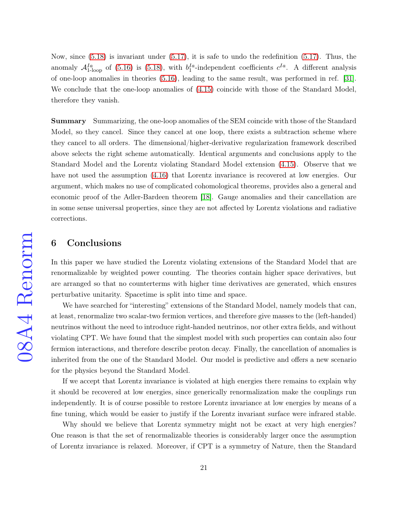Now, since  $(5.18)$  is invariant under  $(5.17)$ , it is safe to undo the redefinition  $(5.17)$ . Thus, the anomaly  $\mathcal{A}_{1-loop}^{Ia}$  of [\(5.16\)](#page-19-0) is [\(5.18\)](#page-19-1), with  $b_1^{Ia}$ -independent coefficients  $c^{Ia}$ . A different analysis of one-loop anomalies in theories [\(5.16\)](#page-19-0), leading to the same result, was performed in ref. [\[31\]](#page-25-9). We conclude that the one-loop anomalies of  $(4.15)$  coincide with those of the Standard Model, therefore they vanish.

Summary Summarizing, the one-loop anomalies of the SEM coincide with those of the Standard Model, so they cancel. Since they cancel at one loop, there exists a subtraction scheme where they cancel to all orders. The dimensional/higher-derivative regularization framework described above selects the right scheme automatically. Identical arguments and conclusions apply to the Standard Model and the Lorentz violating Standard Model extension [\(4.15\)](#page-13-1). Observe that we have not used the assumption [\(4.16\)](#page-14-0) that Lorentz invariance is recovered at low energies. Our argument, which makes no use of complicated cohomological theorems, provides also a general and economic proof of the Adler-Bardeen theorem [\[18\]](#page-24-4). Gauge anomalies and their cancellation are in some sense universal properties, since they are not affected by Lorentz violations and radiative corrections.

## 6 Conclusions

In this paper we have studied the Lorentz violating extensions of the Standard Model that are renormalizable by weighted power counting. The theories contain higher space derivatives, but are arranged so that no counterterms with higher time derivatives are generated, which ensures perturbative unitarity. Spacetime is split into time and space.

We have searched for "interesting" extensions of the Standard Model, namely models that can, at least, renormalize two scalar-two fermion vertices, and therefore give masses to the (left-handed) neutrinos without the need to introduce right-handed neutrinos, nor other extra fields, and without violating CPT. We have found that the simplest model with such properties can contain also four fermion interactions, and therefore describe proton decay. Finally, the cancellation of anomalies is inherited from the one of the Standard Model. Our model is predictive and offers a new scenario for the physics beyond the Standard Model.

If we accept that Lorentz invariance is violated at high energies there remains to explain why it should be recovered at low energies, since generically renormalization make the couplings run independently. It is of course possible to restore Lorentz invariance at low energies by means of a fine tuning, which would be easier to justify if the Lorentz invariant surface were infrared stable.

Why should we believe that Lorentz symmetry might not be exact at very high energies? One reason is that the set of renormalizable theories is considerably larger once the assumption of Lorentz invariance is relaxed. Moreover, if CPT is a symmetry of Nature, then the Standard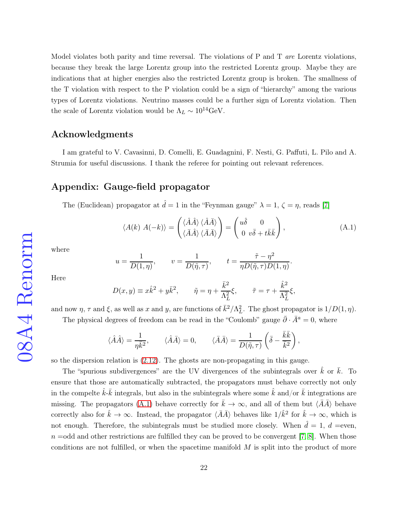Model violates both parity and time reversal. The violations of P and T are Lorentz violations, because they break the large Lorentz group into the restricted Lorentz group. Maybe they are indications that at higher energies also the restricted Lorentz group is broken. The smallness of the T violation with respect to the P violation could be a sign of "hierarchy" among the various types of Lorentz violations. Neutrino masses could be a further sign of Lorentz violation. Then the scale of Lorentz violation would be  $\Lambda_L \sim 10^{14} {\rm GeV}.$ 

#### Acknowledgments

I am grateful to V. Cavasinni, D. Comelli, E. Guadagnini, F. Nesti, G. Paffuti, L. Pilo and A. Strumia for useful discussions. I thank the referee for pointing out relevant references.

## Appendix: Gauge-field propagator

The (Euclidean) propagator at  $\hat{d} = 1$  in the "Feynman gauge"  $\lambda = 1, \, \zeta = \eta,$  reads [\[7\]](#page-23-3)

<span id="page-21-0"></span>
$$
\langle A(k) \; A(-k) \rangle = \begin{pmatrix} \langle \hat{A} \hat{A} \rangle \; \langle \hat{A} \bar{A} \rangle \\ \langle \bar{A} \hat{A} \rangle \; \langle \bar{A} \bar{A} \rangle \end{pmatrix} = \begin{pmatrix} u\hat{\delta} & 0 \\ 0 & v\bar{\delta} + t\bar{k}\bar{k} \end{pmatrix},\tag{A.1}
$$

.

where

$$
u = \frac{1}{D(1, \eta)},
$$
  $v = \frac{1}{D(\tilde{\eta}, \tau)},$   $t = \frac{\tilde{\tau} - \eta^2}{\eta D(\tilde{\eta}, \tau) D(1, \eta)}$ 

Here

$$
D(x,y) \equiv x\hat{k}^2 + y\bar{k}^2, \qquad \tilde{\eta} = \eta + \frac{\bar{k}^2}{\Lambda_L^2}\xi, \qquad \tilde{\tau} = \tau + \frac{\hat{k}^2}{\Lambda_L^2}\xi,
$$

and now  $\eta$ ,  $\tau$  and  $\xi$ , as well as x and y, are functions of  $\bar{k}^2/\Lambda_L^2$ . The ghost propagator is  $1/D(1, \eta)$ .

The physical degrees of freedom can be read in the "Coulomb" gauge  $\bar{\partial} \cdot \bar{A}^a = 0$ , where

$$
\langle \hat{A} \hat{A} \rangle = \frac{1}{\eta \bar{k}^2}, \qquad \langle \hat{A} \bar{A} \rangle = 0, \qquad \langle \bar{A} \bar{A} \rangle = \frac{1}{D(\tilde{\eta}, \tau)} \left( \bar{\delta} - \frac{\bar{k} \bar{k}}{\bar{k}^2} \right),
$$

so the dispersion relation is [\(2.12\)](#page-4-1). The ghosts are non-propagating in this gauge.

The "spurious subdivergences" are the UV divergences of the subintegrals over  $\hat{k}$  or  $\bar{k}$ . To ensure that those are automatically subtracted, the propagators must behave correctly not only in the compelte  $\hat{k}$ - $\bar{k}$  integrals, but also in the subintegrals where some  $\hat{k}$  and/or  $\bar{k}$  integrations are missing. The propagators [\(A.1\)](#page-21-0) behave correctly for  $\bar{k} \to \infty$ , and all of them but  $\langle \bar{A}\bar{A}\rangle$  behave correctly also for  $\hat{k} \to \infty$ . Instead, the propagator  $\langle \bar{A}\bar{A}\rangle$  behaves like  $1/\hat{k}^2$  for  $\hat{k} \to \infty$ , which is not enough. Therefore, the subintegrals must be studied more closely. When  $\hat{d} = 1, d$  =even,  $n =$ odd and other restrictions are fulfilled they can be proved to be convergent [\[7,](#page-23-3) [8\]](#page-23-4). When those conditions are not fulfilled, or when the spacetime manifold  $M$  is split into the product of more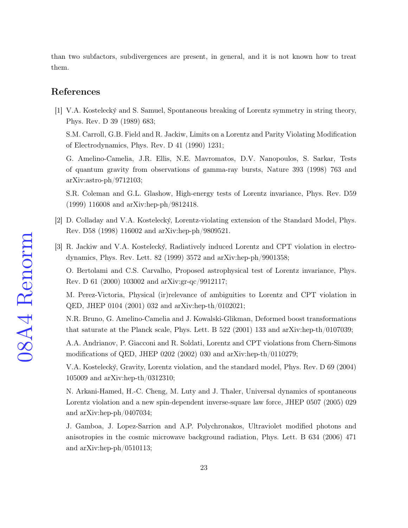than two subfactors, subdivergences are present, in general, and it is not known how to treat them.

### <span id="page-22-0"></span>References

[1] V.A. Kostelecký and S. Samuel, Spontaneous breaking of Lorentz symmetry in string theory, Phys. Rev. D 39 (1989) 683;

S.M. Carroll, G.B. Field and R. Jackiw, Limits on a Lorentz and Parity Violating Modification of Electrodynamics, Phys. Rev. D 41 (1990) 1231;

G. Amelino-Camelia, J.R. Ellis, N.E. Mavromatos, D.V. Nanopoulos, S. Sarkar, Tests of quantum gravity from observations of gamma-ray bursts, Nature 393 (1998) 763 and arXiv:astro-ph/9712103;

S.R. Coleman and G.L. Glashow, High-energy tests of Lorentz invariance, Phys. Rev. D59 (1999) 116008 and arXiv:hep-ph/9812418.

- <span id="page-22-2"></span><span id="page-22-1"></span>[2] D. Colladay and V.A. Kostelecký, Lorentz-violating extension of the Standard Model, Phys. Rev. D58 (1998) 116002 and arXiv:hep-ph/9809521.
- [3] R. Jackiw and V.A. Kostelecký, Radiatively induced Lorentz and CPT violation in electrodynamics, Phys. Rev. Lett. 82 (1999) 3572 and arXiv:hep-ph/9901358;

O. Bertolami and C.S. Carvalho, Proposed astrophysical test of Lorentz invariance, Phys. Rev. D 61 (2000) 103002 and arXiv:gr-qc/9912117;

M. Perez-Victoria, Physical (ir)relevance of ambiguities to Lorentz and CPT violation in QED, JHEP 0104 (2001) 032 and arXiv:hep-th/0102021;

N.R. Bruno, G. Amelino-Camelia and J. Kowalski-Glikman, Deformed boost transformations that saturate at the Planck scale, Phys. Lett. B 522 (2001) 133 and arXiv:hep-th/0107039;

A.A. Andrianov, P. Giacconi and R. Soldati, Lorentz and CPT violations from Chern-Simons modifications of QED, JHEP 0202 (2002) 030 and arXiv:hep-th/0110279;

V.A. Kostelecký, Gravity, Lorentz violation, and the standard model, Phys. Rev. D 69 (2004) 105009 and arXiv:hep-th/0312310;

N. Arkani-Hamed, H.-C. Cheng, M. Luty and J. Thaler, Universal dynamics of spontaneous Lorentz violation and a new spin-dependent inverse-square law force, JHEP 0507 (2005) 029 and arXiv:hep-ph/0407034;

J. Gamboa, J. Lopez-Sarrion and A.P. Polychronakos, Ultraviolet modified photons and anisotropies in the cosmic microwave background radiation, Phys. Lett. B 634 (2006) 471 and arXiv:hep-ph/0510113;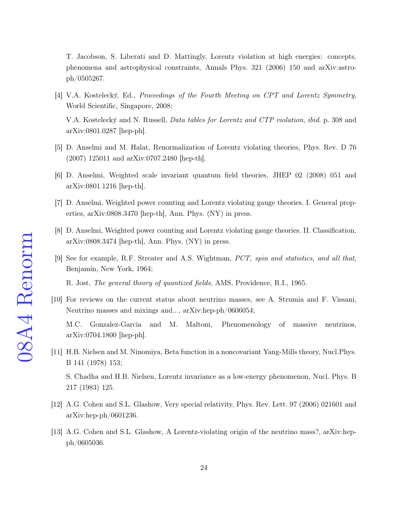T. Jacobson, S. Liberati and D. Mattingly, Lorentz violation at high energies: concepts, phenomena and astrophysical constraints, Annals Phys. 321 (2006) 150 and arXiv:astroph/0505267.

<span id="page-23-0"></span>[4] V.A. Kostelecký, Ed., Proceedings of the Fourth Meeting on CPT and Lorentz Symmetry, World Scientific, Singapore, 2008;

V.A. Kostelecký and N. Russell, Data tables for Lorentz and CTP violation, ibid. p. 308 and arXiv:0801.0287 [hep-ph].

- <span id="page-23-2"></span><span id="page-23-1"></span>[5] D. Anselmi and M. Halat, Renormalization of Lorentz violating theories, Phys. Rev. D 76 (2007) 125011 and arXiv:0707.2480 [hep-th].
- <span id="page-23-3"></span>[6] D. Anselmi, Weighted scale invariant quantum field theories, JHEP 02 (2008) 051 and arXiv:0801.1216 [hep-th].
- <span id="page-23-4"></span>[7] D. Anselmi, Weighted power counting and Lorentz violating gauge theories. I. General properties, arXiv:0808.3470 [hep-th], Ann. Phys. (NY) in press.
- <span id="page-23-5"></span>[8] D. Anselmi, Weighted power counting and Lorentz violating gauge theories. II. Classification, arXiv:0808.3474 [hep-th], Ann. Phys. (NY) in press.
- [9] See for example, R.F. Streater and A.S. Wightman, PCT, spin and statistics, and all that, Benjamin, New York, 1964;

<span id="page-23-6"></span>R. Jost, The general theory of quantized fields, AMS, Providence, R.I., 1965.

[10] For reviews on the current status about neutrino masses, see A. Strumia and F. Vissani, Neutrino masses and mixings and..., arXiv:hep-ph/0606054;

M.C. Gonzalez-Garcia and M. Maltoni, Phenomenology of massive neutrinos, arXiv:0704.1800 [hep-ph].

<span id="page-23-7"></span>[11] H.B. Nielsen and M. Ninomiya, Beta function in a noncovariant Yang-Mills theory, Nucl.Phys. B 141 (1978) 153;

S. Chadha and H.B. Nielsen, Lorentz invariance as a low-energy phenomenon, Nucl. Phys. B 217 (1983) 125.

- <span id="page-23-9"></span><span id="page-23-8"></span>[12] A.G. Cohen and S.L. Glashow, Very special relativity, Phys. Rev. Lett. 97 (2006) 021601 and arXiv:hep-ph/0601236.
- [13] A.G. Cohen and S.L. Glashow, A Lorentz-violating origin of the neutrino mass?, arXiv:hepph/0605036.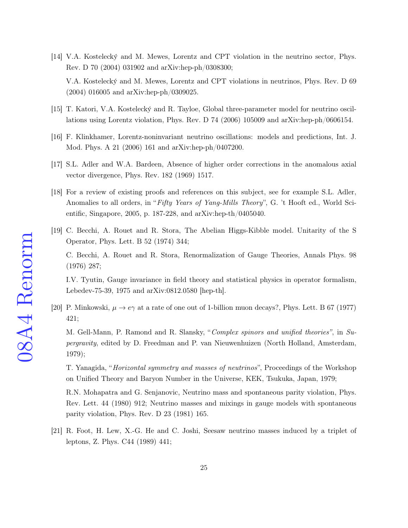- <span id="page-24-0"></span>[14] V.A. Kostelecký and M. Mewes, Lorentz and CPT violation in the neutrino sector, Phys. Rev. D 70 (2004) 031902 and arXiv:hep-ph/0308300; V.A. Kostelecký and M. Mewes, Lorentz and CPT violations in neutrinos, Phys. Rev. D 69
- <span id="page-24-2"></span>[15] T. Katori, V.A. Kostelecký and R. Tayloe, Global three-parameter model for neutrino oscillations using Lorentz violation, Phys. Rev. D 74 (2006) 105009 and arXiv:hep-ph/0606154.

<span id="page-24-1"></span>(2004) 016005 and arXiv:hep-ph/0309025.

Lebedev-75-39, 1975 and arXiv:0812.0580 [hep-th].

- <span id="page-24-3"></span>[16] F. Klinkhamer, Lorentz-noninvariant neutrino oscillations: models and predictions, Int. J. Mod. Phys. A 21 (2006) 161 and arXiv:hep-ph/0407200.
- <span id="page-24-4"></span>[17] S.L. Adler and W.A. Bardeen, Absence of higher order corrections in the anomalous axial vector divergence, Phys. Rev. 182 (1969) 1517.
- [18] For a review of existing proofs and references on this subject, see for example S.L. Adler, Anomalies to all orders, in "Fifty Years of Yang-Mills Theory", G. 't Hooft ed., World Scientific, Singapore, 2005, p. 187-228, and arXiv:hep-th/0405040.
- <span id="page-24-5"></span>[19] C. Becchi, A. Rouet and R. Stora, The Abelian Higgs-Kibble model. Unitarity of the S Operator, Phys. Lett. B 52 (1974) 344; C. Becchi, A. Rouet and R. Stora, Renormalization of Gauge Theories, Annals Phys. 98 (1976) 287; I.V. Tyutin, Gauge invariance in field theory and statistical physics in operator formalism,
- <span id="page-24-6"></span>[20] P. Minkowski,  $\mu \to e\gamma$  at a rate of one out of 1-billion muon decays?, Phys. Lett. B 67 (1977)

M. Gell-Mann, P. Ramond and R. Slansky, "Complex spinors and unified theories", in Supergravity, edited by D. Freedman and P. van Nieuwenhuizen (North Holland, Amsterdam, 1979);

T. Yanagida, "Horizontal symmetry and masses of neutrinos", Proceedings of the Workshop on Unified Theory and Baryon Number in the Universe, KEK, Tsukuka, Japan, 1979;

R.N. Mohapatra and G. Senjanovic, Neutrino mass and spontaneous parity violation, Phys. Rev. Lett. 44 (1980) 912; Neutrino masses and mixings in gauge models with spontaneous parity violation, Phys. Rev. D 23 (1981) 165.

<span id="page-24-7"></span>[21] R. Foot, H. Lew, X.-G. He and C. Joshi, Seesaw neutrino masses induced by a triplet of leptons, Z. Phys. C44 (1989) 441;

421;